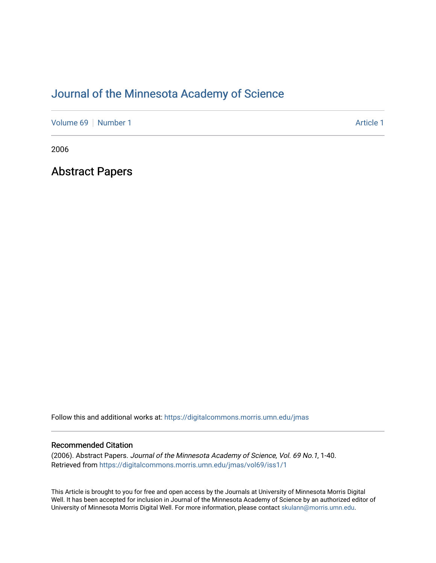# [Journal of the Minnesota Academy of Science](https://digitalcommons.morris.umn.edu/jmas)

[Volume 69](https://digitalcommons.morris.umn.edu/jmas/vol69) [Number 1](https://digitalcommons.morris.umn.edu/jmas/vol69/iss1) Article 1

2006

Abstract Papers

Follow this and additional works at: [https://digitalcommons.morris.umn.edu/jmas](https://digitalcommons.morris.umn.edu/jmas?utm_source=digitalcommons.morris.umn.edu%2Fjmas%2Fvol69%2Fiss1%2F1&utm_medium=PDF&utm_campaign=PDFCoverPages) 

## Recommended Citation

(2006). Abstract Papers. Journal of the Minnesota Academy of Science, Vol. 69 No.1, 1-40. Retrieved from [https://digitalcommons.morris.umn.edu/jmas/vol69/iss1/1](https://digitalcommons.morris.umn.edu/jmas/vol69/iss1/1?utm_source=digitalcommons.morris.umn.edu%2Fjmas%2Fvol69%2Fiss1%2F1&utm_medium=PDF&utm_campaign=PDFCoverPages)

This Article is brought to you for free and open access by the Journals at University of Minnesota Morris Digital Well. It has been accepted for inclusion in Journal of the Minnesota Academy of Science by an authorized editor of University of Minnesota Morris Digital Well. For more information, please contact [skulann@morris.umn.edu](mailto:skulann@morris.umn.edu).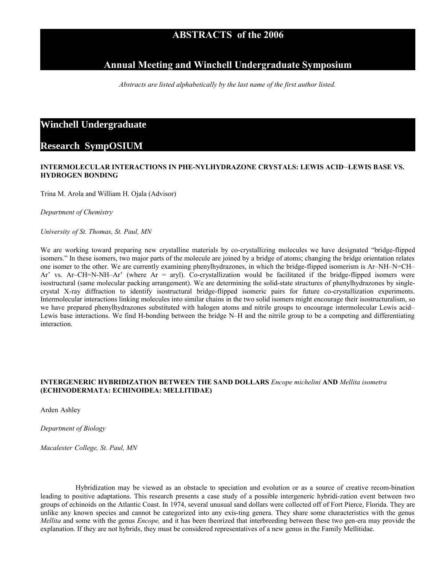## **ABSTRACTS of the 2006**

## **Annual Meeting and Winchell Undergraduate Symposium**

*Abstracts are listed alphabetically by the last name of the first author listed.*

## **Winchell Undergraduate**

## **Research SympOSIUM**

## **INTERMOLECULAR INTERACTIONS IN PHE-NYLHYDRAZONE CRYSTALS: LEWIS ACID**–**LEWIS BASE VS. HYDROGEN BONDING**

Trina M. Arola and William H. Ojala (Advisor)

*Department of Chemistry*

*University of St. Thomas, St. Paul, MN*

We are working toward preparing new crystalline materials by co-crystallizing molecules we have designated "bridge-flipped isomers." In these isomers, two major parts of the molecule are joined by a bridge of atoms; changing the bridge orientation relates one isomer to the other. We are currently examining phenylhydrazones, in which the bridge-flipped isomerism is Ar–NH–N=CH– Ar' vs. Ar–CH=N-NH–Ar' (where  $Ar = aryl$ ). Co-crystallization would be facilitated if the bridge-flipped isomers were isostructural (same molecular packing arrangement). We are determining the solid-state structures of phenylhydrazones by singlecrystal X-ray diffraction to identify isostructural bridge-flipped isomeric pairs for future co-crystallization experiments. Intermolecular interactions linking molecules into similar chains in the two solid isomers might encourage their isostructuralism, so we have prepared phenylhydrazones substituted with halogen atoms and nitrile groups to encourage intermolecular Lewis acid– Lewis base interactions. We find H-bonding between the bridge N–H and the nitrile group to be a competing and differentiating interaction.

## **INTERGENERIC HYBRIDIZATION BETWEEN THE SAND DOLLARS** *Encope michelini* **AND** *Mellita isometra* **(ECHINODERMATA: ECHINOIDEA: MELLITIDAE)**

Arden Ashley

*Department of Biology*

*Macalester College, St. Paul, MN*

Hybridization may be viewed as an obstacle to speciation and evolution or as a source of creative recom-bination leading to positive adaptations. This research presents a case study of a possible intergeneric hybridi-zation event between two groups of echinoids on the Atlantic Coast. In 1974, several unusual sand dollars were collected off of Fort Pierce, Florida. They are unlike any known species and cannot be categorized into any exis-ting genera. They share some characteristics with the genus *Mellita* and some with the genus *Encope,* and it has been theorized that interbreeding between these two gen-era may provide the explanation. If they are not hybrids, they must be considered representatives of a new genus in the Family Mellitidae.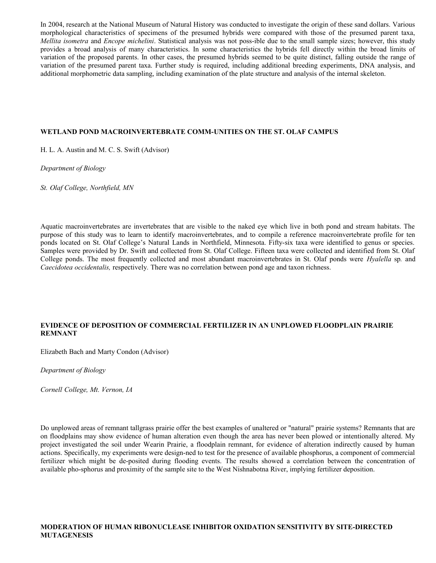In 2004, research at the National Museum of Natural History was conducted to investigate the origin of these sand dollars. Various morphological characteristics of specimens of the presumed hybrids were compared with those of the presumed parent taxa, *Mellita isometra* and *Encope michelini*. Statistical analysis was not poss-ible due to the small sample sizes; however, this study provides a broad analysis of many characteristics. In some characteristics the hybrids fell directly within the broad limits of variation of the proposed parents. In other cases, the presumed hybrids seemed to be quite distinct, falling outside the range of variation of the presumed parent taxa. Further study is required, including additional breeding experiments, DNA analysis, and additional morphometric data sampling, including examination of the plate structure and analysis of the internal skeleton.

#### **WETLAND POND MACROINVERTEBRATE COMM-UNITIES ON THE ST. OLAF CAMPUS**

H. L. A. Austin and M. C. S. Swift (Advisor)

*Department of Biology*

*St. Olaf College, Northfield, MN*

Aquatic macroinvertebrates are invertebrates that are visible to the naked eye which live in both pond and stream habitats. The purpose of this study was to learn to identify macroinvertebrates, and to compile a reference macroinvertebrate profile for ten ponds located on St. Olaf College's Natural Lands in Northfield, Minnesota. Fifty-six taxa were identified to genus or species. Samples were provided by Dr. Swift and collected from St. Olaf College. Fifteen taxa were collected and identified from St. Olaf College ponds. The most frequently collected and most abundant macroinvertebrates in St. Olaf ponds were *Hyalella* sp*.* and *Caecidotea occidentalis,* respectively*.* There was no correlation between pond age and taxon richness.

## **EVIDENCE OF DEPOSITION OF COMMERCIAL FERTILIZER IN AN UNPLOWED FLOODPLAIN PRAIRIE REMNANT**

Elizabeth Bach and Marty Condon (Advisor)

*Department of Biology*

*Cornell College, Mt. Vernon, IA*

Do unplowed areas of remnant tallgrass prairie offer the best examples of unaltered or "natural" prairie systems? Remnants that are on floodplains may show evidence of human alteration even though the area has never been plowed or intentionally altered. My project investigated the soil under Wearin Prairie, a floodplain remnant, for evidence of alteration indirectly caused by human actions. Specifically, my experiments were design-ned to test for the presence of available phosphorus, a component of commercial fertilizer which might be de-posited during flooding events. The results showed a correlation between the concentration of available pho-sphorus and proximity of the sample site to the West Nishnabotna River, implying fertilizer deposition.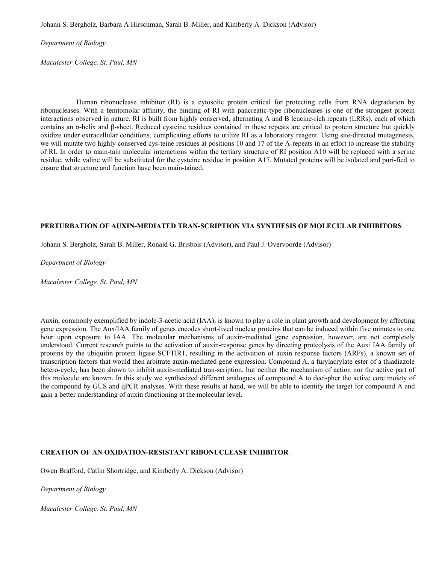Johann S. Bergholz, Barbara A Hirschman, Sarah B. Miller, and Kimberly A. Dickson (Advisor)

*Department of Biology*

*Macalester College, St. Paul, MN* 

Human ribonuclease inhibitor (RI) is a cytosolic protein critical for protecting cells from RNA degradation by ribonucleases. With a femtomolar affinity, the binding of RI with pancreatic-type ribonucleases is one of the strongest protein interactions observed in nature. RI is built from highly conserved, alternating A and B leucine-rich repeats (LRRs), each of which contains an α-helix and β-sheet. Reduced cysteine residues contained in these repeats are critical to protein structure but quickly oxidize under extracellular conditions, complicating efforts to utilize RI as a laboratory reagent. Using site-directed mutagenesis, we will mutate two highly conserved cys-teine residues at positions 10 and 17 of the A-repeats in an effort to increase the stability of RI. In order to main-tain molecular interactions within the tertiary structure of RI position A10 will be replaced with a serine residue, while valine will be substituted for the cysteine residue in position A17. Mutated proteins will be isolated and puri-fied to ensure that structure and function have been main-tained.

## **PERTURBATION OF AUXIN-MEDIATED TRAN-SCRIPTION VIA SYNTHESIS OF MOLECULAR INHIBITORS**

Johann S. Bergholz, Sarah B. Miller, Ronald G. Brisbois (Advisor), and Paul J. Overvoorde (Advisor)

#### *Department of Biology*

*Macalester College, St. Paul, MN*

Auxin, commonly exemplified by indole-3-acetic acid (IAA), is known to play a role in plant growth and development by affecting gene expression. The Aux/IAA family of genes encodes short-lived nuclear proteins that can be induced within five minutes to one hour upon exposure to IAA. The molecular mechanisms of auxin-mediated gene expression, however, are not completely understood. Current research points to the activation of auxin-response genes by directing proteolysis of the Aux/ IAA family of proteins by the ubiquitin protein ligase SCFTIR1, resulting in the activation of auxin response factors (ARFs), a known set of transcription factors that would then arbitrate auxin-mediated gene expression. Compound A, a furylacrylate ester of a thiadiazole hetero-cycle, has been shown to inhibit auxin-mediated tran-scription, but neither the mechanism of action nor the active part of this molecule are known. In this study we synthesized different analogues of compound A to deci-pher the active core moiety of the compound by GUS and qPCR analyses. With these results at hand, we will be able to identify the target for compound A and gain a better understanding of auxin functioning at the molecular level.

## **CREATION OF AN OXIDATION-RESISTANT RIBONUCLEASE INHIBITOR**

Owen Brafford, Catlin Shortridge, and Kimberly A. Dickson (Advisor)

*Department of Biology*

*Macalester College, St. Paul, MN*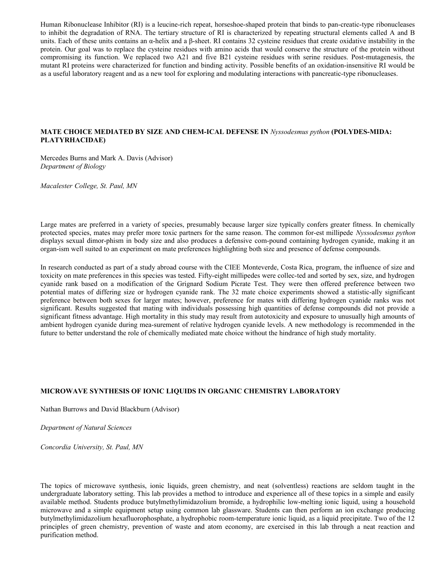Human Ribonuclease Inhibitor (RI) is a leucine-rich repeat, horseshoe-shaped protein that binds to pan-creatic-type ribonucleases to inhibit the degradation of RNA. The tertiary structure of RI is characterized by repeating structural elements called A and B units. Each of these units contains an α-helix and a β-sheet. RI contains 32 cysteine residues that create oxidative instability in the protein. Our goal was to replace the cysteine residues with amino acids that would conserve the structure of the protein without compromising its function. We replaced two A21 and five B21 cysteine residues with serine residues. Post-mutagenesis, the mutant RI proteins were characterized for function and binding activity. Possible benefits of an oxidation-insensitive RI would be as a useful laboratory reagent and as a new tool for exploring and modulating interactions with pancreatic-type ribonucleases.

## **MATE CHOICE MEDIATED BY SIZE AND CHEM-ICAL DEFENSE IN** *Nyssodesmus python* **(POLYDES-MIDA: PLATYRHACIDAE)**

Mercedes Burns and Mark A. Davis (Advisor) *Department of Biology*

*Macalester College, St. Paul, MN*

Large mates are preferred in a variety of species, presumably because larger size typically confers greater fitness. In chemically protected species, mates may prefer more toxic partners for the same reason. The common for-est millipede *Nyssodesmus python* displays sexual dimor-phism in body size and also produces a defensive com-pound containing hydrogen cyanide, making it an organ-ism well suited to an experiment on mate preferences highlighting both size and presence of defense compounds.

In research conducted as part of a study abroad course with the CIEE Monteverde, Costa Rica, program, the influence of size and toxicity on mate preferences in this species was tested. Fifty-eight millipedes were collec-ted and sorted by sex, size, and hydrogen cyanide rank based on a modification of the Grignard Sodium Picrate Test. They were then offered preference between two potential mates of differing size or hydrogen cyanide rank. The 32 mate choice experiments showed a statistic-ally significant preference between both sexes for larger mates; however, preference for mates with differing hydrogen cyanide ranks was not significant. Results suggested that mating with individuals possessing high quantities of defense compounds did not provide a significant fitness advantage. High mortality in this study may result from autotoxicity and exposure to unusually high amounts of ambient hydrogen cyanide during mea-surement of relative hydrogen cyanide levels. A new methodology is recommended in the future to better understand the role of chemically mediated mate choice without the hindrance of high study mortality.

## **MICROWAVE SYNTHESIS OF IONIC LIQUIDS IN ORGANIC CHEMISTRY LABORATORY**

Nathan Burrows and David Blackburn (Advisor)

*Department of Natural Sciences*

*Concordia University, St. Paul, MN*

The topics of microwave synthesis, ionic liquids, green chemistry, and neat (solventless) reactions are seldom taught in the undergraduate laboratory setting. This lab provides a method to introduce and experience all of these topics in a simple and easily available method. Students produce butylmethylimidazolium bromide, a hydrophilic low-melting ionic liquid, using a household microwave and a simple equipment setup using common lab glassware. Students can then perform an ion exchange producing butylmethylimidazolium hexafluorophosphate, a hydrophobic room-temperature ionic liquid, as a liquid precipitate. Two of the 12 principles of green chemistry, prevention of waste and atom economy, are exercised in this lab through a neat reaction and purification method.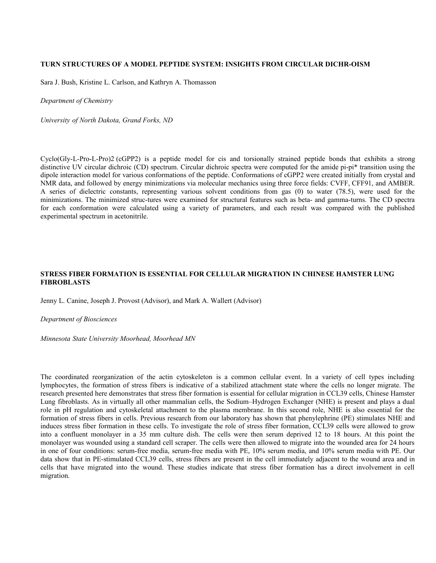#### **TURN STRUCTURES OF A MODEL PEPTIDE SYSTEM: INSIGHTS FROM CIRCULAR DICHR-OISM**

Sara J. Bush, Kristine L. Carlson, and Kathryn A. Thomasson

*Department of Chemistry*

*University of North Dakota, Grand Forks, ND*

Cyclo(Gly-L-Pro-L-Pro)2 (cGPP2) is a peptide model for cis and torsionally strained peptide bonds that exhibits a strong distinctive UV circular dichroic (CD) spectrum. Circular dichroic spectra were computed for the amide pi-pi\* transition using the dipole interaction model for various conformations of the peptide. Conformations of cGPP2 were created initially from crystal and NMR data, and followed by energy minimizations via molecular mechanics using three force fields: CVFF, CFF91, and AMBER. A series of dielectric constants, representing various solvent conditions from gas (0) to water (78.5), were used for the minimizations. The minimized struc-tures were examined for structural features such as beta- and gamma-turns. The CD spectra for each conformation were calculated using a variety of parameters, and each result was compared with the published experimental spectrum in acetonitrile.

## **STRESS FIBER FORMATION IS ESSENTIAL FOR CELLULAR MIGRATION IN CHINESE HAMSTER LUNG FIBROBLASTS**

Jenny L. Canine, Joseph J. Provost (Advisor), and Mark A. Wallert (Advisor)

#### *Department of Biosciences*

*Minnesota State University Moorhead, Moorhead MN*

The coordinated reorganization of the actin cytoskeleton is a common cellular event. In a variety of cell types including lymphocytes, the formation of stress fibers is indicative of a stabilized attachment state where the cells no longer migrate. The research presented here demonstrates that stress fiber formation is essential for cellular migration in CCL39 cells, Chinese Hamster Lung fibroblasts. As in virtually all other mammalian cells, the Sodium–Hydrogen Exchanger (NHE) is present and plays a dual role in pH regulation and cytoskeletal attachment to the plasma membrane. In this second role, NHE is also essential for the formation of stress fibers in cells. Previous research from our laboratory has shown that phenylephrine (PE) stimulates NHE and induces stress fiber formation in these cells. To investigate the role of stress fiber formation, CCL39 cells were allowed to grow into a confluent monolayer in a 35 mm culture dish. The cells were then serum deprived 12 to 18 hours. At this point the monolayer was wounded using a standard cell scraper. The cells were then allowed to migrate into the wounded area for 24 hours in one of four conditions: serum-free media, serum-free media with PE, 10% serum media, and 10% serum media with PE. Our data show that in PE-stimulated CCL39 cells, stress fibers are present in the cell immediately adjacent to the wound area and in cells that have migrated into the wound. These studies indicate that stress fiber formation has a direct involvement in cell migration.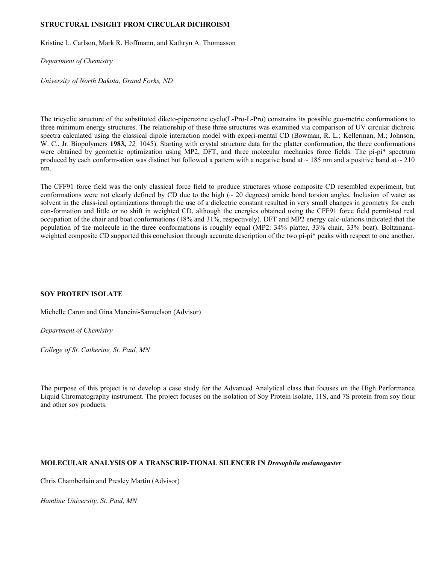#### **STRUCTURAL INSIGHT FROM CIRCULAR DICHROISM**

Kristine L. Carlson, Mark R. Hoffmann, and Kathryn A. Thomasson

*Department of Chemistry*

*University of North Dakota, Grand Forks, ND*

The tricyclic structure of the substituted diketo-piperazine cyclo(L-Pro-L-Pro) constrains its possible geo-metric conformations to three minimum energy structures. The relationship of these three structures was examined via comparison of UV circular dichroic spectra calculated using the classical dipole interaction model with experi-mental CD (Bowman, R. L.; Kellerman, M.; Johnson, W. C., Jr. Biopolymers **1983,** *22,* 1045). Starting with crystal structure data for the platter conformation, the three conformations were obtained by geometric optimization using MP2, DFT, and three molecular mechanics force fields. The pi-pi\* spectrum produced by each conform-ation was distinct but followed a pattern with a negative band at  $\sim$  185 nm and a positive band at  $\sim$  210 nm.

The CFF91 force field was the only classical force field to produce structures whose composite CD resembled experiment, but conformations were not clearly defined by CD due to the high ( $\sim$  20 degrees) amide bond torsion angles. Inclusion of water as solvent in the class-ical optimizations through the use of a dielectric constant resulted in very small changes in geometry for each con-formation and little or no shift in weighted CD, although the energies obtained using the CFF91 force field permit-ted real occupation of the chair and boat conformations (18% and 31%, respectively). DFT and MP2 energy calc-ulations indicated that the population of the molecule in the three conformations is roughly equal (MP2: 34% platter, 33% chair, 33% boat). Boltzmannweighted composite CD supported this conclusion through accurate description of the two pi-pi\* peaks with respect to one another.

## **SOY PROTEIN ISOLATE**

Michelle Caron and Gina Mancini-Samuelson (Advisor)

*Department of Chemistry*

*College of St. Catherine, St. Paul, MN*

The purpose of this project is to develop a case study for the Advanced Analytical class that focuses on the High Performance Liquid Chromatography instrument. The project focuses on the isolation of Soy Protein Isolate, 11S, and 7S protein from soy flour and other soy products.

#### **MOLECULAR ANALYSIS OF A TRANSCRIP-TIONAL SILENCER IN** *Drosophila melanogaster*

Chris Chamberlain and Presley Martin (Advisor)

*Hamline University, St. Paul, MN*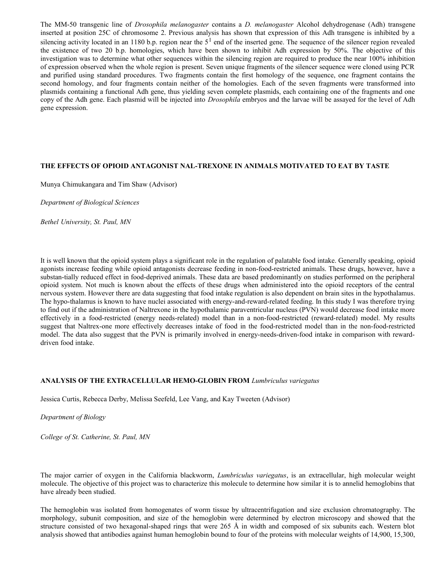The MM-50 transgenic line of *Drosophila melanogaster* contains a *D. melanogaster* Alcohol dehydrogenase (Adh) transgene inserted at position 25C of chromosome 2. Previous analysis has shown that expression of this Adh transgene is inhibited by a silencing activity located in an 1180 b.p. region near the  $5<sup>1</sup>$  end of the inserted gene. The sequence of the silencer region revealed the existence of two 20 b.p. homologies, which have been shown to inhibit Adh expression by 50%. The objective of this investigation was to determine what other sequences within the silencing region are required to produce the near 100% inhibition of expression observed when the whole region is present. Seven unique fragments of the silencer sequence were cloned using PCR and purified using standard procedures. Two fragments contain the first homology of the sequence, one fragment contains the second homology, and four fragments contain neither of the homologies. Each of the seven fragments were transformed into plasmids containing a functional Adh gene, thus yielding seven complete plasmids, each containing one of the fragments and one copy of the Adh gene. Each plasmid will be injected into *Drosophila* embryos and the larvae will be assayed for the level of Adh gene expression.

#### **THE EFFECTS OF OPIOID ANTAGONIST NAL-TREXONE IN ANIMALS MOTIVATED TO EAT BY TASTE**

Munya Chimukangara and Tim Shaw (Advisor)

*Department of Biological Sciences*

*Bethel University, St. Paul, MN*

It is well known that the opioid system plays a significant role in the regulation of palatable food intake. Generally speaking, opioid agonists increase feeding while opioid antagonists decrease feeding in non-food-restricted animals. These drugs, however, have a substan-tially reduced effect in food-deprived animals. These data are based predominantly on studies performed on the peripheral opioid system. Not much is known about the effects of these drugs when administered into the opioid receptors of the central nervous system. However there are data suggesting that food intake regulation is also dependent on brain sites in the hypothalamus. The hypo-thalamus is known to have nuclei associated with energy-and-reward-related feeding. In this study I was therefore trying to find out if the administration of Naltrexone in the hypothalamic paraventricular nucleus (PVN) would decrease food intake more effectively in a food-restricted (energy needs-related) model than in a non-food-restricted (reward-related) model. My results suggest that Naltrex-one more effectively decreases intake of food in the food-restricted model than in the non-food-restricted model. The data also suggest that the PVN is primarily involved in energy-needs-driven-food intake in comparison with rewarddriven food intake.

#### **ANALYSIS OF THE EXTRACELLULAR HEMO-GLOBIN FROM** *Lumbriculus variegatus*

Jessica Curtis, Rebecca Derby, Melissa Seefeld, Lee Vang, and Kay Tweeten (Advisor)

#### *Department of Biology*

*College of St. Catherine, St. Paul, MN*

The major carrier of oxygen in the California blackworm, *Lumbriculus variegatus*, is an extracellular, high molecular weight molecule. The objective of this project was to characterize this molecule to determine how similar it is to annelid hemoglobins that have already been studied.

The hemoglobin was isolated from homogenates of worm tissue by ultracentrifugation and size exclusion chromatography. The morphology, subunit composition, and size of the hemoglobin were determined by electron microscopy and showed that the structure consisted of two hexagonal-shaped rings that were 265 Å in width and composed of six subunits each. Western blot analysis showed that antibodies against human hemoglobin bound to four of the proteins with molecular weights of 14,900, 15,300,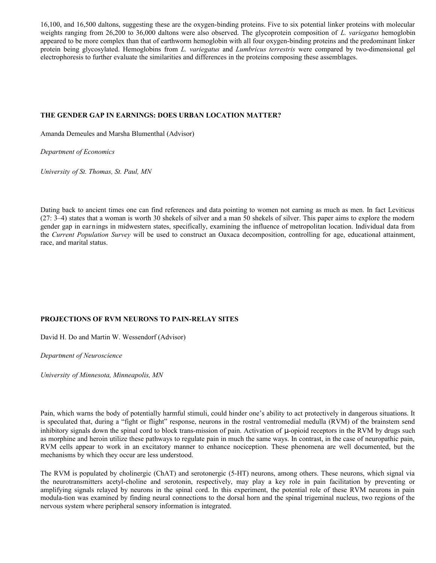16,100, and 16,500 daltons, suggesting these are the oxygen-binding proteins. Five to six potential linker proteins with molecular weights ranging from 26,200 to 36,000 daltons were also observed. The glycoprotein composition of *L. variegatus* hemoglobin appeared to be more complex than that of earthworm hemoglobin with all four oxygen-binding proteins and the predominant linker protein being glycosylated. Hemoglobins from *L. variegatus* and *Lumbricus terrestris* were compared by two-dimensional gel electrophoresis to further evaluate the similarities and differences in the proteins composing these assemblages.

## **THE GENDER GAP IN EARNINGS: DOES URBAN LOCATION MATTER?**

Amanda Demeules and Marsha Blumenthal (Advisor)

*Department of Economics*

*University of St. Thomas, St. Paul, MN*

Dating back to ancient times one can find references and data pointing to women not earning as much as men. In fact Leviticus (27: 3–4) states that a woman is worth 30 shekels of silver and a man 50 shekels of silver. This paper aims to explore the modern gender gap in earnings in midwestern states, specifically, examining the influence of metropolitan location. Individual data from the *Current Population Survey* will be used to construct an Oaxaca decomposition, controlling for age, educational attainment, race, and marital status.

## **PROJECTIONS OF RVM NEURONS TO PAIN-RELAY SITES**

David H. Do and Martin W. Wessendorf (Advisor)

*Department of Neuroscience*

*University of Minnesota, Minneapolis, MN*

Pain, which warns the body of potentially harmful stimuli, could hinder one's ability to act protectively in dangerous situations. It is speculated that, during a "fight or flight" response, neurons in the rostral ventromedial medulla (RVM) of the brainstem send inhibitory signals down the spinal cord to block trans-mission of pain. Activation of  $\mu$ -opioid receptors in the RVM by drugs such as morphine and heroin utilize these pathways to regulate pain in much the same ways. In contrast, in the case of neuropathic pain, RVM cells appear to work in an excitatory manner to enhance nociception. These phenomena are well documented, but the mechanisms by which they occur are less understood.

The RVM is populated by cholinergic (ChAT) and serotonergic (5-HT) neurons, among others. These neurons, which signal via the neurotransmitters acetyl-choline and serotonin, respectively, may play a key role in pain facilitation by preventing or amplifying signals relayed by neurons in the spinal cord. In this experiment, the potential role of these RVM neurons in pain modula-tion was examined by finding neural connections to the dorsal horn and the spinal trigeminal nucleus, two regions of the nervous system where peripheral sensory information is integrated.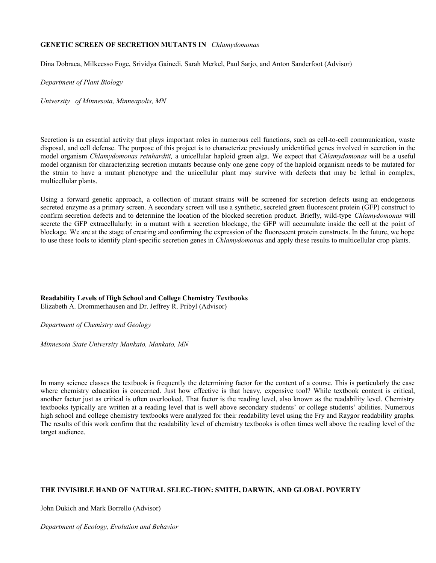### **GENETIC SCREEN OF SECRETION MUTANTS IN** *Chlamydomonas*

Dina Dobraca, Milkeesso Foge, Srividya Gainedi, Sarah Merkel, Paul Sarjo, and Anton Sanderfoot (Advisor)

*Department of Plant Biology*

*University of Minnesota, Minneapolis, MN*

Secretion is an essential activity that plays important roles in numerous cell functions, such as cell-to-cell communication, waste disposal, and cell defense. The purpose of this project is to characterize previously unidentified genes involved in secretion in the model organism *Chlamydomonas reinhardtii,* a unicellular haploid green alga. We expect that *Chlamydomonas* will be a useful model organism for characterizing secretion mutants because only one gene copy of the haploid organism needs to be mutated for the strain to have a mutant phenotype and the unicellular plant may survive with defects that may be lethal in complex, multicellular plants.

Using a forward genetic approach, a collection of mutant strains will be screened for secretion defects using an endogenous secreted enzyme as a primary screen. A secondary screen will use a synthetic, secreted green fluorescent protein (GFP) construct to confirm secretion defects and to determine the location of the blocked secretion product. Briefly, wild-type *Chlamydomonas* will secrete the GFP extracellularly; in a mutant with a secretion blockage, the GFP will accumulate inside the cell at the point of blockage. We are at the stage of creating and confirming the expression of the fluorescent protein constructs. In the future, we hope to use these tools to identify plant-specific secretion genes in *Chlamydomonas* and apply these results to multicellular crop plants.

**Readability Levels of High School and College Chemistry Textbooks**  Elizabeth A. Drommerhausen and Dr. Jeffrey R. Pribyl (Advisor)

*Department of Chemistry and Geology*

*Minnesota State University Mankato, Mankato, MN*

In many science classes the textbook is frequently the determining factor for the content of a course. This is particularly the case where chemistry education is concerned. Just how effective is that heavy, expensive tool? While textbook content is critical, another factor just as critical is often overlooked. That factor is the reading level, also known as the readability level. Chemistry textbooks typically are written at a reading level that is well above secondary students' or college students' abilities. Numerous high school and college chemistry textbooks were analyzed for their readability level using the Fry and Raygor readability graphs. The results of this work confirm that the readability level of chemistry textbooks is often times well above the reading level of the target audience.

## **THE INVISIBLE HAND OF NATURAL SELEC-TION: SMITH, DARWIN, AND GLOBAL POVERTY**

John Dukich and Mark Borrello (Advisor)

*Department of Ecology, Evolution and Behavior*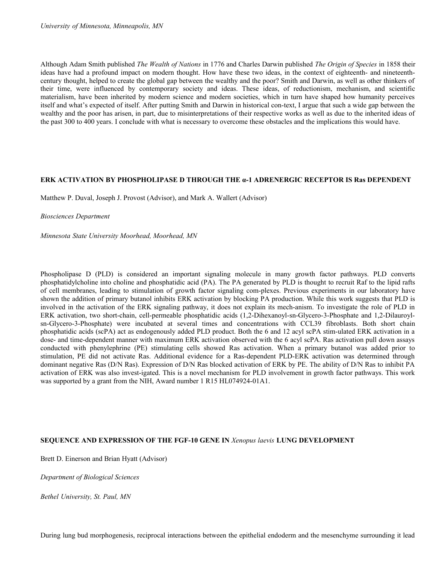Although Adam Smith published *The Wealth of Nations* in 1776 and Charles Darwin published *The Origin of Species* in 1858 their ideas have had a profound impact on modern thought. How have these two ideas, in the context of eighteenth- and nineteenthcentury thought, helped to create the global gap between the wealthy and the poor? Smith and Darwin, as well as other thinkers of their time, were influenced by contemporary society and ideas. These ideas, of reductionism, mechanism, and scientific materialism, have been inherited by modern science and modern societies, which in turn have shaped how humanity perceives itself and what's expected of itself. After putting Smith and Darwin in historical con-text, I argue that such a wide gap between the wealthy and the poor has arisen, in part, due to misinterpretations of their respective works as well as due to the inherited ideas of the past 300 to 400 years. I conclude with what is necessary to overcome these obstacles and the implications this would have.

#### **ERK ACTIVATION BY PHOSPHOLIPASE D THROUGH THE α-1 ADRENERGIC RECEPTOR IS Ras DEPENDENT**

Matthew P. Duval, Joseph J. Provost (Advisor), and Mark A. Wallert (Advisor)

#### *Biosciences Department*

*Minnesota State University Moorhead, Moorhead, MN*

Phospholipase D (PLD) is considered an important signaling molecule in many growth factor pathways. PLD converts phosphatidylcholine into choline and phosphatidic acid (PA). The PA generated by PLD is thought to recruit Raf to the lipid rafts of cell membranes, leading to stimulation of growth factor signaling com-plexes. Previous experiments in our laboratory have shown the addition of primary butanol inhibits ERK activation by blocking PA production. While this work suggests that PLD is involved in the activation of the ERK signaling pathway, it does not explain its mech-anism. To investigate the role of PLD in ERK activation, two short-chain, cell-permeable phosphatidic acids (1,2-Dihexanoyl-sn-Glycero-3-Phosphate and 1,2-Dilauroylsn-Glycero-3-Phosphate) were incubated at several times and concentrations with CCL39 fibroblasts. Both short chain phosphatidic acids (scPA) act as endogenously added PLD product. Both the 6 and 12 acyl scPA stim-ulated ERK activation in a dose- and time-dependent manner with maximum ERK activation observed with the 6 acyl scPA. Ras activation pull down assays conducted with phenylephrine (PE) stimulating cells showed Ras activation. When a primary butanol was added prior to stimulation, PE did not activate Ras. Additional evidence for a Ras-dependent PLD-ERK activation was determined through dominant negative Ras (D/N Ras). Expression of D/N Ras blocked activation of ERK by PE. The ability of D/N Ras to inhibit PA activation of ERK was also invest-igated. This is a novel mechanism for PLD involvement in growth factor pathways. This work was supported by a grant from the NIH, Award number 1 R15 HL074924-01A1.

## **SEQUENCE AND EXPRESSION OF THE FGF-10 GENE IN** *Xenopus laevis* **LUNG DEVELOPMENT**

Brett D. Einerson and Brian Hyatt (Advisor)

*Department of Biological Sciences*

*Bethel University, St. Paul, MN*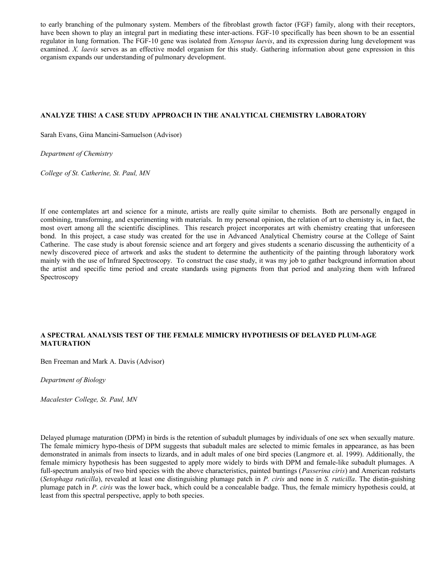to early branching of the pulmonary system. Members of the fibroblast growth factor (FGF) family, along with their receptors, have been shown to play an integral part in mediating these inter-actions. FGF-10 specifically has been shown to be an essential regulator in lung formation. The FGF-10 gene was isolated from *Xenopus laevis*, and its expression during lung development was examined. *X. laevis* serves as an effective model organism for this study. Gathering information about gene expression in this organism expands our understanding of pulmonary development.

## **ANALYZE THIS! A CASE STUDY APPROACH IN THE ANALYTICAL CHEMISTRY LABORATORY**

Sarah Evans, Gina Mancini-Samuelson (Advisor)

*Department of Chemistry*

*College of St. Catherine, St. Paul, MN*

If one contemplates art and science for a minute, artists are really quite similar to chemists. Both are personally engaged in combining, transforming, and experimenting with materials. In my personal opinion, the relation of art to chemistry is, in fact, the most overt among all the scientific disciplines. This research project incorporates art with chemistry creating that unforeseen bond. In this project, a case study was created for the use in Advanced Analytical Chemistry course at the College of Saint Catherine. The case study is about forensic science and art forgery and gives students a scenario discussing the authenticity of a newly discovered piece of artwork and asks the student to determine the authenticity of the painting through laboratory work mainly with the use of Infrared Spectroscopy. To construct the case study, it was my job to gather background information about the artist and specific time period and create standards using pigments from that period and analyzing them with Infrared Spectroscopy

## **A SPECTRAL ANALYSIS TEST OF THE FEMALE MIMICRY HYPOTHESIS OF DELAYED PLUM-AGE MATURATION**

Ben Freeman and Mark A. Davis (Advisor)

*Department of Biology*

*Macalester College, St. Paul, MN* 

Delayed plumage maturation (DPM) in birds is the retention of subadult plumages by individuals of one sex when sexually mature. The female mimicry hypo-thesis of DPM suggests that subadult males are selected to mimic females in appearance, as has been demonstrated in animals from insects to lizards, and in adult males of one bird species (Langmore et. al. 1999). Additionally, the female mimicry hypothesis has been suggested to apply more widely to birds with DPM and female-like subadult plumages. A full-spectrum analysis of two bird species with the above characteristics, painted buntings (*Passerina ciris*) and American redstarts (*Setophaga ruticilla*), revealed at least one distinguishing plumage patch in *P. ciris* and none in *S. ruticilla*. The distin-guishing plumage patch in *P. ciris* was the lower back, which could be a concealable badge. Thus, the female mimicry hypothesis could, at least from this spectral perspective, apply to both species.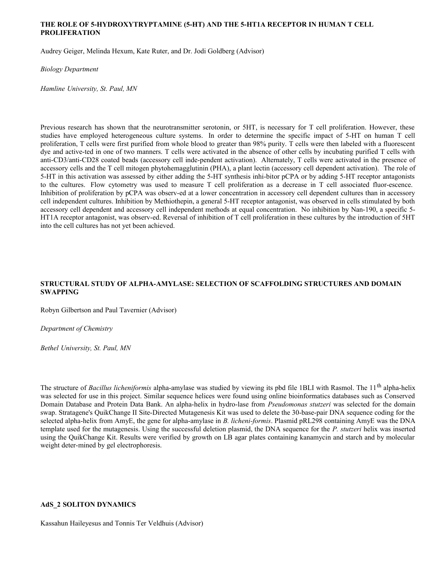## **THE ROLE OF 5-HYDROXYTRYPTAMINE (5-HT) AND THE 5-HT1A RECEPTOR IN HUMAN T CELL PROLIFERATION**

Audrey Geiger, Melinda Hexum, Kate Ruter, and Dr. Jodi Goldberg (Advisor)

*Biology Department*

*Hamline University, St. Paul, MN*

Previous research has shown that the neurotransmitter serotonin, or 5HT, is necessary for T cell proliferation. However, these studies have employed heterogeneous culture systems. In order to determine the specific impact of 5-HT on human T cell proliferation, T cells were first purified from whole blood to greater than 98% purity. T cells were then labeled with a fluorescent dye and active-ted in one of two manners. T cells were activated in the absence of other cells by incubating purified T cells with anti-CD3/anti-CD28 coated beads (accessory cell inde-pendent activation). Alternately, T cells were activated in the presence of accessory cells and the T cell mitogen phytohemagglutinin (PHA), a plant lectin (accessory cell dependent activation). The role of 5-HT in this activation was assessed by either adding the 5-HT synthesis inhi-bitor pCPA or by adding 5-HT receptor antagonists to the cultures. Flow cytometry was used to measure T cell proliferation as a decrease in T cell associated fluor-escence. Inhibition of proliferation by pCPA was observ-ed at a lower concentration in accessory cell dependent cultures than in accessory cell independent cultures. Inhibition by Methiothepin, a general 5-HT receptor antagonist, was observed in cells stimulated by both accessory cell dependent and accessory cell independent methods at equal concentration. No inhibition by Nan-190, a specific 5- HT1A receptor antagonist, was observ-ed. Reversal of inhibition of T cell proliferation in these cultures by the introduction of 5HT into the cell cultures has not yet been achieved.

## **STRUCTURAL STUDY OF ALPHA-AMYLASE: SELECTION OF SCAFFOLDING STRUCTURES AND DOMAIN SWAPPING**

Robyn Gilbertson and Paul Tavernier (Advisor)

*Department of Chemistry*

*Bethel University, St. Paul, MN*

The structure of *Bacillus licheniformis* alpha-amylase was studied by viewing its pbd file 1BLI with Rasmol. The 11th alpha-helix was selected for use in this project. Similar sequence helices were found using online bioinformatics databases such as Conserved Domain Database and Protein Data Bank. An alpha-helix in hydro-lase from *Pseudomonas stutzeri* was selected for the domain swap. Stratagene's QuikChange II Site-Directed Mutagenesis Kit was used to delete the 30-base-pair DNA sequence coding for the selected alpha-helix from AmyE, the gene for alpha-amylase in *B. licheni-formis*. Plasmid pRL298 containing AmyE was the DNA template used for the mutagenesis. Using the successful deletion plasmid, the DNA sequence for the *P. stutzeri* helix was inserted using the QuikChange Kit. Results were verified by growth on LB agar plates containing kanamycin and starch and by molecular weight deter-mined by gel electrophoresis.

## **AdS\_2 SOLITON DYNAMICS**

Kassahun Haileyesus and Tonnis Ter Veldhuis (Advisor)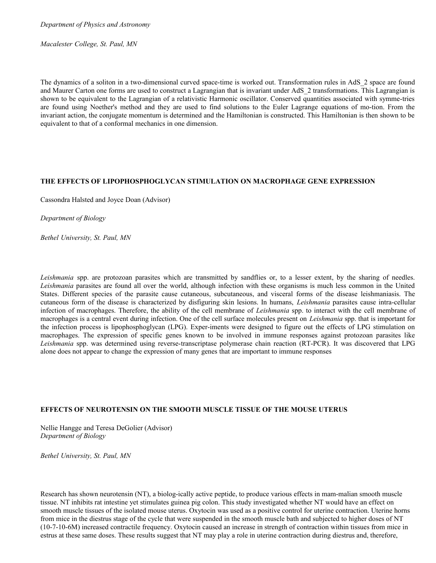*Department of Physics and Astronomy*

*Macalester College, St. Paul, MN*

The dynamics of a soliton in a two-dimensional curved space-time is worked out. Transformation rules in AdS\_2 space are found and Maurer Carton one forms are used to construct a Lagrangian that is invariant under AdS\_2 transformations. This Lagrangian is shown to be equivalent to the Lagrangian of a relativistic Harmonic oscillator. Conserved quantities associated with symme-tries are found using Noether's method and they are used to find solutions to the Euler Lagrange equations of mo-tion. From the invariant action, the conjugate momentum is determined and the Hamiltonian is constructed. This Hamiltonian is then shown to be equivalent to that of a conformal mechanics in one dimension.

## **THE EFFECTS OF LIPOPHOSPHOGLYCAN STIMULATION ON MACROPHAGE GENE EXPRESSION**

Cassondra Halsted and Joyce Doan (Advisor)

*Department of Biology*

*Bethel University, St. Paul, MN*

*Leishmania* spp. are protozoan parasites which are transmitted by sandflies or, to a lesser extent, by the sharing of needles. *Leishmania* parasites are found all over the world, although infection with these organisms is much less common in the United States. Different species of the parasite cause cutaneous, subcutaneous, and visceral forms of the disease leishmaniasis. The cutaneous form of the disease is characterized by disfiguring skin lesions. In humans, *Leishmania* parasites cause intra-cellular infection of macrophages. Therefore, the ability of the cell membrane of *Leishmania* spp. to interact with the cell membrane of macrophages is a central event during infection. One of the cell surface molecules present on *Leishmania* spp. that is important for the infection process is lipophosphoglycan (LPG). Exper-iments were designed to figure out the effects of LPG stimulation on macrophages. The expression of specific genes known to be involved in immune responses against protozoan parasites like *Leishmania* spp. was determined using reverse-transcriptase polymerase chain reaction (RT-PCR). It was discovered that LPG alone does not appear to change the expression of many genes that are important to immune responses

#### **EFFECTS OF NEUROTENSIN ON THE SMOOTH MUSCLE TISSUE OF THE MOUSE UTERUS**

Nellie Hangge and Teresa DeGolier (Advisor) *Department of Biology*

*Bethel University, St. Paul, MN*

Research has shown neurotensin (NT), a biolog-ically active peptide, to produce various effects in mam-malian smooth muscle tissue. NT inhibits rat intestine yet stimulates guinea pig colon. This study investigated whether NT would have an effect on smooth muscle tissues of the isolated mouse uterus. Oxytocin was used as a positive control for uterine contraction. Uterine horns from mice in the diestrus stage of the cycle that were suspended in the smooth muscle bath and subjected to higher doses of NT (10-7-10-6M) increased contractile frequency. Oxytocin caused an increase in strength of contraction within tissues from mice in estrus at these same doses. These results suggest that NT may play a role in uterine contraction during diestrus and, therefore,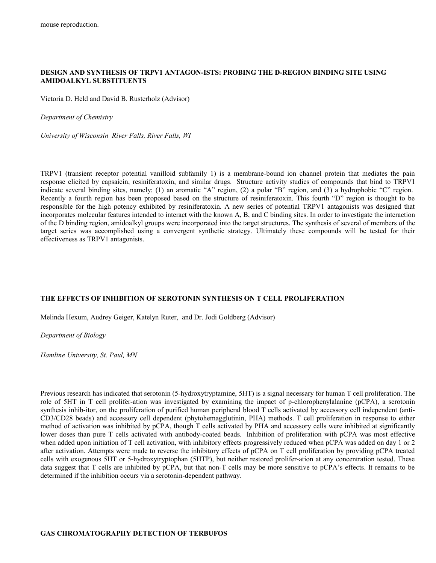## **DESIGN AND SYNTHESIS OF TRPV1 ANTAGON-ISTS: PROBING THE D-REGION BINDING SITE USING AMIDOALKYL SUBSTITUENTS**

Victoria D. Held and David B. Rusterholz (Advisor)

*Department of Chemistry*

*University of Wisconsin–River Falls, River Falls, WI*

TRPV1 (transient receptor potential vanilloid subfamily 1) is a membrane-bound ion channel protein that mediates the pain response elicited by capsaicin, resiniferatoxin, and similar drugs. Structure activity studies of compounds that bind to TRPV1 indicate several binding sites, namely: (1) an aromatic "A" region, (2) a polar "B" region, and (3) a hydrophobic "C" region. Recently a fourth region has been proposed based on the structure of resiniferatoxin. This fourth "D" region is thought to be responsible for the high potency exhibited by resiniferatoxin. A new series of potential TRPV1 antagonists was designed that incorporates molecular features intended to interact with the known A, B, and C binding sites. In order to investigate the interaction of the D binding region, amidoalkyl groups were incorporated into the target structures. The synthesis of several of members of the target series was accomplished using a convergent synthetic strategy. Ultimately these compounds will be tested for their effectiveness as TRPV1 antagonists.

#### **THE EFFECTS OF INHIBITION OF SEROTONIN SYNTHESIS ON T CELL PROLIFERATION**

Melinda Hexum, Audrey Geiger, Katelyn Ruter, and Dr. Jodi Goldberg (Advisor)

*Department of Biology*

*Hamline University, St. Paul, MN*

Previous research has indicated that serotonin (5-hydroxytryptamine, 5HT) is a signal necessary for human T cell proliferation. The role of 5HT in T cell prolifer-ation was investigated by examining the impact of p-chlorophenylalanine (pCPA), a serotonin synthesis inhib-itor, on the proliferation of purified human peripheral blood T cells activated by accessory cell independent (anti-CD3/CD28 beads) and accessory cell dependent (phytohemagglutinin, PHA) methods. T cell proliferation in response to either method of activation was inhibited by pCPA, though T cells activated by PHA and accessory cells were inhibited at significantly lower doses than pure T cells activated with antibody-coated beads. Inhibition of proliferation with pCPA was most effective when added upon initiation of T cell activation, with inhibitory effects progressively reduced when pCPA was added on day 1 or 2 after activation. Attempts were made to reverse the inhibitory effects of pCPA on T cell proliferation by providing pCPA treated cells with exogenous 5HT or 5-hydroxytryptophan (5HTP), but neither restored prolifer-ation at any concentration tested. These data suggest that T cells are inhibited by pCPA, but that non-T cells may be more sensitive to pCPA's effects. It remains to be determined if the inhibition occurs via a serotonin-dependent pathway.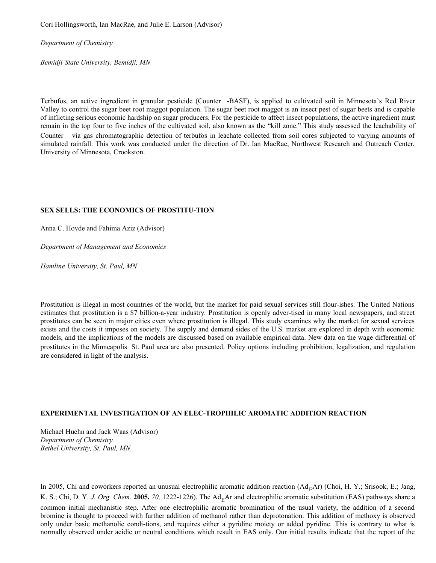Cori Hollingsworth, Ian MacRae, and Julie E. Larson (Advisor)

*Department of Chemistry*

*Bemidji State University, Bemidji, MN*

Terbufos, an active ingredient in granular pesticide (Counter®-BASF), is applied to cultivated soil in Minnesota's Red River Valley to control the sugar beet root maggot population. The sugar beet root maggot is an insect pest of sugar beets and is capable of inflicting serious economic hardship on sugar producers. For the pesticide to affect insect populations, the active ingredient must remain in the top four to five inches of the cultivated soil, also known as the "kill zone." This study assessed the leachability of Counter<sup>®</sup> via gas chromatographic detection of terbufos in leachate collected from soil cores subjected to varying amounts of simulated rainfall. This work was conducted under the direction of Dr. Ian MacRae, Northwest Research and Outreach Center, University of Minnesota, Crookston.

## **SEX SELLS: THE ECONOMICS OF PROSTITU-TION**

Anna C. Hovde and Fahima Aziz (Advisor)

*Department of Management and Economics*

*Hamline University, St. Paul, MN*

Prostitution is illegal in most countries of the world, but the market for paid sexual services still flour-ishes. The United Nations estimates that prostitution is a \$7 billion-a-year industry. Prostitution is openly adver-tised in many local newspapers, and street prostitutes can be seen in major cities even where prostitution is illegal. This study examines why the market for sexual services exists and the costs it imposes on society. The supply and demand sides of the U.S. market are explored in depth with economic models, and the implications of the models are discussed based on available empirical data. New data on the wage differential of prostitutes in the Minneapolis–St. Paul area are also presented. Policy options including prohibition, legalization, and regulation are considered in light of the analysis.

#### **EXPERIMENTAL INVESTIGATION OF AN ELEC-TROPHILIC AROMATIC ADDITION REACTION**

Michael Huehn and Jack Waas (Advisor) *Department of Chemistry Bethel University, St. Paul, MN*

In 2005, Chi and coworkers reported an unusual electrophilic aromatic addition reaction  $(Ad_EAr)$  (Choi, H. Y.; Srisook, E.; Jang, K. S.; Chi, D. Y. *J. Org. Chem.* 2005, 70, 1222-1226). The Ad<sub>E</sub>Ar and electrophilic aromatic substitution (EAS) pathways share a common initial mechanistic step. After one electrophilic aromatic bromination of the usual variety, the addition of a second bromine is thought to proceed with further addition of methanol rather than deprotonation. This addition of methoxy is observed only under basic methanolic condi-tions, and requires either a pyridine moiety or added pyridine. This is contrary to what is normally observed under acidic or neutral conditions which result in EAS only. Our initial results indicate that the report of the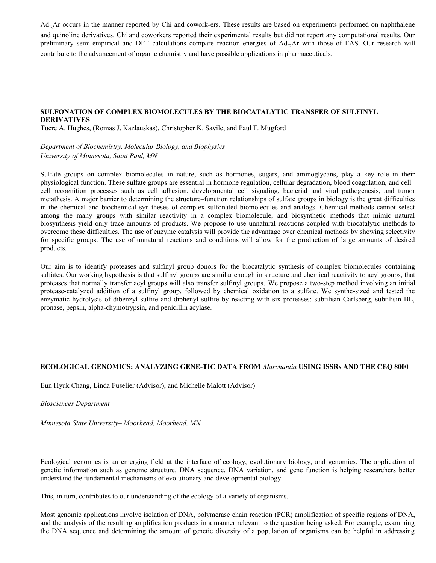$Ad_E$ Ar occurs in the manner reported by Chi and cowork-ers. These results are based on experiments performed on naphthalene and quinoline derivatives. Chi and coworkers reported their experimental results but did not report any computational results. Our preliminary semi-empirical and DFT calculations compare reaction energies of  $Ad_EAr$  with those of EAS. Our research will contribute to the advancement of organic chemistry and have possible applications in pharmaceuticals.

## **SULFONATION OF COMPLEX BIOMOLECULES BY THE BIOCATALYTIC TRANSFER OF SULFINYL DERIVATIVES**

Tuere A. Hughes, (Romas J. Kazlauskas), Christopher K. Savile, and Paul F. Mugford

*Department of Biochemistry, Molecular Biology, and Biophysics University of Minnesota, Saint Paul, MN*

Sulfate groups on complex biomolecules in nature, such as hormones, sugars, and aminoglycans, play a key role in their physiological function. These sulfate groups are essential in hormone regulation, cellular degradation, blood coagulation, and cell– cell recognition processes such as cell adhesion, developmental cell signaling, bacterial and viral pathogenesis, and tumor metathesis. A major barrier to determining the structure–function relationships of sulfate groups in biology is the great difficulties in the chemical and biochemical syn-theses of complex sulfonated biomolecules and analogs. Chemical methods cannot select among the many groups with similar reactivity in a complex biomolecule, and biosynthetic methods that mimic natural biosynthesis yield only trace amounts of products. We propose to use unnatural reactions coupled with biocatalytic methods to overcome these difficulties. The use of enzyme catalysis will provide the advantage over chemical methods by showing selectivity for specific groups. The use of unnatural reactions and conditions will allow for the production of large amounts of desired products.

Our aim is to identify proteases and sulfinyl group donors for the biocatalytic synthesis of complex biomolecules containing sulfates. Our working hypothesis is that sulfinyl groups are similar enough in structure and chemical reactivity to acyl groups, that proteases that normally transfer acyl groups will also transfer sulfinyl groups. We propose a two-step method involving an initial protease-catalyzed addition of a sulfinyl group, followed by chemical oxidation to a sulfate. We synthe-sized and tested the enzymatic hydrolysis of dibenzyl sulfite and diphenyl sulfite by reacting with six proteases: subtilisin Carlsberg, subtilisin BL, pronase, pepsin, alpha-chymotrypsin, and penicillin acylase.

## **ECOLOGICAL GENOMICS: ANALYZING GENE-TIC DATA FROM** *Marchantia* **USING ISSRs AND THE CEQ 8000**

Eun Hyuk Chang, Linda Fuselier (Advisor), and Michelle Malott (Advisor)

*Biosciences Department*

*Minnesota State University– Moorhead, Moorhead, MN* 

Ecological genomics is an emerging field at the interface of ecology, evolutionary biology, and genomics. The application of genetic information such as genome structure, DNA sequence, DNA variation, and gene function is helping researchers better understand the fundamental mechanisms of evolutionary and developmental biology.

This, in turn, contributes to our understanding of the ecology of a variety of organisms.

Most genomic applications involve isolation of DNA, polymerase chain reaction (PCR) amplification of specific regions of DNA, and the analysis of the resulting amplification products in a manner relevant to the question being asked. For example, examining the DNA sequence and determining the amount of genetic diversity of a population of organisms can be helpful in addressing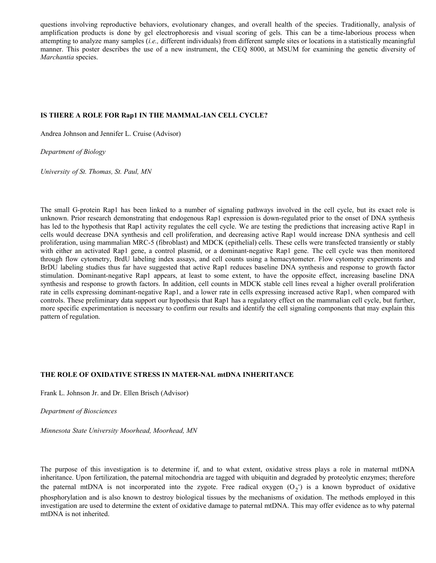questions involving reproductive behaviors, evolutionary changes, and overall health of the species. Traditionally, analysis of amplification products is done by gel electrophoresis and visual scoring of gels. This can be a time-laborious process when attempting to analyze many samples (*i.e.,* different individuals) from different sample sites or locations in a statistically meaningful manner. This poster describes the use of a new instrument, the CEQ 8000, at MSUM for examining the genetic diversity of *Marchantia* species.

## **IS THERE A ROLE FOR Rap1 IN THE MAMMAL-IAN CELL CYCLE?**

Andrea Johnson and Jennifer L. Cruise (Advisor)

*Department of Biology*

*University of St. Thomas, St. Paul, MN*

The small G-protein Rap1 has been linked to a number of signaling pathways involved in the cell cycle, but its exact role is unknown. Prior research demonstrating that endogenous Rap1 expression is down-regulated prior to the onset of DNA synthesis has led to the hypothesis that Rap1 activity regulates the cell cycle. We are testing the predictions that increasing active Rap1 in cells would decrease DNA synthesis and cell proliferation, and decreasing active Rap1 would increase DNA synthesis and cell proliferation, using mammalian MRC-5 (fibroblast) and MDCK (epithelial) cells. These cells were transfected transiently or stably with either an activated Rap1 gene, a control plasmid, or a dominant-negative Rap1 gene. The cell cycle was then monitored through flow cytometry, BrdU labeling index assays, and cell counts using a hemacytometer. Flow cytometry experiments and BrDU labeling studies thus far have suggested that active Rap1 reduces baseline DNA synthesis and response to growth factor stimulation. Dominant-negative Rap1 appears, at least to some extent, to have the opposite effect, increasing baseline DNA synthesis and response to growth factors. In addition, cell counts in MDCK stable cell lines reveal a higher overall proliferation rate in cells expressing dominant-negative Rap1, and a lower rate in cells expressing increased active Rap1, when compared with controls. These preliminary data support our hypothesis that Rap1 has a regulatory effect on the mammalian cell cycle, but further, more specific experimentation is necessary to confirm our results and identify the cell signaling components that may explain this pattern of regulation.

## **THE ROLE OF OXIDATIVE STRESS IN MATER-NAL mtDNA INHERITANCE**

Frank L. Johnson Jr. and Dr. Ellen Brisch (Advisor)

*Department of Biosciences* 

*Minnesota State University Moorhead, Moorhead, MN*

The purpose of this investigation is to determine if, and to what extent, oxidative stress plays a role in maternal mtDNA inheritance. Upon fertilization, the paternal mitochondria are tagged with ubiquitin and degraded by proteolytic enzymes; therefore the paternal mtDNA is not incorporated into the zygote. Free radical oxygen  $(O_2^-)$  is a known byproduct of oxidative phosphorylation and is also known to destroy biological tissues by the mechanisms of oxidation. The methods employed in this investigation are used to determine the extent of oxidative damage to paternal mtDNA. This may offer evidence as to why paternal mtDNA is not inherited.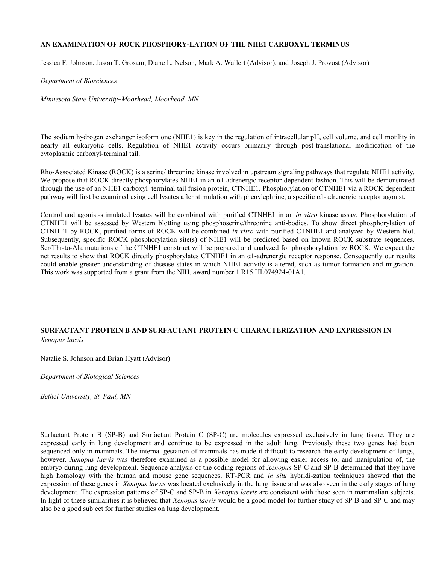## **AN EXAMINATION OF ROCK PHOSPHORY-LATION OF THE NHE1 CARBOXYL TERMINUS**

Jessica F. Johnson, Jason T. Grosam, Diane L. Nelson, Mark A. Wallert (Advisor), and Joseph J. Provost (Advisor)

*Department of Biosciences*

*Minnesota State University–Moorhead, Moorhead, MN*

The sodium hydrogen exchanger isoform one (NHE1) is key in the regulation of intracellular pH, cell volume, and cell motility in nearly all eukaryotic cells. Regulation of NHE1 activity occurs primarily through post-translational modification of the cytoplasmic carboxyl-terminal tail.

Rho-Associated Kinase (ROCK) is a serine/ threonine kinase involved in upstream signaling pathways that regulate NHE1 activity. We propose that ROCK directly phosphorylates NHE1 in an  $\alpha$ 1-adrenergic receptor-dependent fashion. This will be demonstrated through the use of an NHE1 carboxyl–terminal tail fusion protein, CTNHE1. Phosphorylation of CTNHE1 via a ROCK dependent pathway will first be examined using cell lysates after stimulation with phenylephrine, a specific α1-adrenergic receptor agonist.

Control and agonist-stimulated lysates will be combined with purified CTNHE1 in an *in vitro* kinase assay. Phosphorylation of CTNHE1 will be assessed by Western blotting using phosphoserine/threonine anti-bodies. To show direct phosphorylation of CTNHE1 by ROCK, purified forms of ROCK will be combined *in vitro* with purified CTNHE1 and analyzed by Western blot. Subsequently, specific ROCK phosphorylation site(s) of NHE1 will be predicted based on known ROCK substrate sequences. Ser/Thr-to-Ala mutations of the CTNHE1 construct will be prepared and analyzed for phosphorylation by ROCK. We expect the net results to show that ROCK directly phosphorylates CTNHE1 in an α1-adrenergic receptor response. Consequently our results could enable greater understanding of disease states in which NHE1 activity is altered, such as tumor formation and migration. This work was supported from a grant from the NIH, award number 1 R15 HL074924-01A1.

## **SURFACTANT PROTEIN B AND SURFACTANT PROTEIN C CHARACTERIZATION AND EXPRESSION IN**

*Xenopus laevis*

Natalie S. Johnson and Brian Hyatt (Advisor)

*Department of Biological Sciences*

*Bethel University, St. Paul, MN*

Surfactant Protein B (SP-B) and Surfactant Protein C (SP-C) are molecules expressed exclusively in lung tissue. They are expressed early in lung development and continue to be expressed in the adult lung. Previously these two genes had been sequenced only in mammals. The internal gestation of mammals has made it difficult to research the early development of lungs, however. *Xenopus laevis* was therefore examined as a possible model for allowing easier access to, and manipulation of, the embryo during lung development. Sequence analysis of the coding regions of *Xenopus* SP-C and SP-B determined that they have high homology with the human and mouse gene sequences. RT-PCR and *in situ* hybridi-zation techniques showed that the expression of these genes in *Xenopus laevis* was located exclusively in the lung tissue and was also seen in the early stages of lung development. The expression patterns of SP-C and SP-B in *Xenopus laevis* are consistent with those seen in mammalian subjects. In light of these similarities it is believed that *Xenopus laevis* would be a good model for further study of SP-B and SP-C and may also be a good subject for further studies on lung development.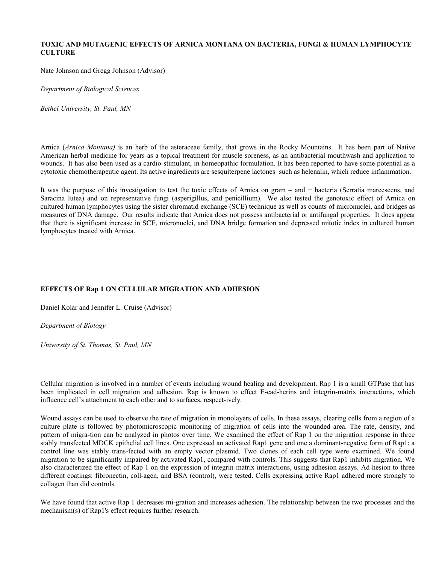## **TOXIC AND MUTAGENIC EFFECTS OF ARNICA MONTANA ON BACTERIA, FUNGI & HUMAN LYMPHOCYTE CULTURE**

Nate Johnson and Gregg Johnson (Advisor)

*Department of Biological Sciences*

*Bethel University, St. Paul, MN*

Arnica (*Arnica Montana)* is an herb of the asteraceae family, that grows in the Rocky Mountains. It has been part of Native American herbal medicine for years as a topical treatment for muscle soreness, as an antibacterial mouthwash and application to wounds. It has also been used as a cardio-stimulant, in homeopathic formulation. It has been reported to have some potential as a cytotoxic chemotherapeutic agent. Its active ingredients are sesquiterpene lactones such as helenalin, which reduce inflammation.

It was the purpose of this investigation to test the toxic effects of Arnica on gram – and + bacteria (Serratia marcescens, and Saracina lutea) and on representative fungi (asperigillus, and penicillium). We also tested the genotoxic effect of Arnica on cultured human lymphocytes using the sister chromatid exchange (SCE) technique as well as counts of micronuclei, and bridges as measures of DNA damage. Our results indicate that Arnica does not possess antibacterial or antifungal properties. It does appear that there is significant increase in SCE, micronuclei, and DNA bridge formation and depressed mitotic index in cultured human lymphocytes treated with Arnica.

## **EFFECTS OF Rap 1 ON CELLULAR MIGRATION AND ADHESION**

Daniel Kolar and Jennifer L. Cruise (Advisor)

## *Department of Biology*

*University of St. Thomas, St. Paul, MN*

Cellular migration is involved in a number of events including wound healing and development. Rap 1 is a small GTPase that has been implicated in cell migration and adhesion. Rap is known to effect E-cad-herins and integrin-matrix interactions, which influence cell's attachment to each other and to surfaces, respect-ively.

Wound assays can be used to observe the rate of migration in monolayers of cells. In these assays, clearing cells from a region of a culture plate is followed by photomicroscopic monitoring of migration of cells into the wounded area. The rate, density, and pattern of migra-tion can be analyzed in photos over time. We examined the effect of Rap 1 on the migration response in three stably transfected MDCK epithelial cell lines. One expressed an activated Rap1 gene and one a dominant-negative form of Rap1; a control line was stably trans-fected with an empty vector plasmid. Two clones of each cell type were examined. We found migration to be significantly impaired by activated Rap1, compared with controls. This suggests that Rap1 inhibits migration. We also characterized the effect of Rap 1 on the expression of integrin-matrix interactions, using adhesion assays. Ad-hesion to three different coatings: fibronectin, coll-agen, and BSA (control), were tested. Cells expressing active Rap1 adhered more strongly to collagen than did controls.

We have found that active Rap 1 decreases mi-gration and increases adhesion. The relationship between the two processes and the mechanism(s) of Rap1's effect requires further research.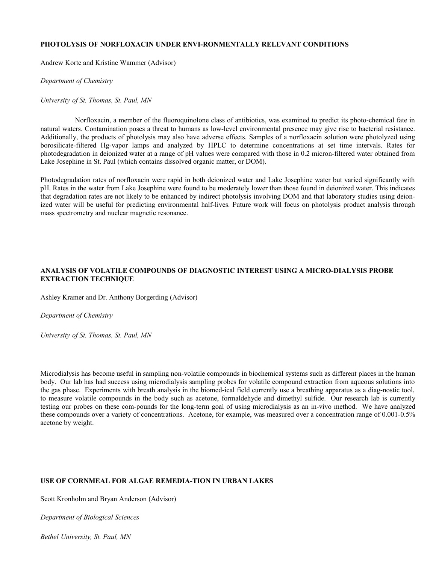#### **PHOTOLYSIS OF NORFLOXACIN UNDER ENVI-RONMENTALLY RELEVANT CONDITIONS**

Andrew Korte and Kristine Wammer (Advisor)

*Department of Chemistry*

*University of St. Thomas, St. Paul, MN*

Norfloxacin, a member of the fluoroquinolone class of antibiotics, was examined to predict its photo-chemical fate in natural waters. Contamination poses a threat to humans as low-level environmental presence may give rise to bacterial resistance. Additionally, the products of photolysis may also have adverse effects. Samples of a norfloxacin solution were photolyzed using borosilicate-filtered Hg-vapor lamps and analyzed by HPLC to determine concentrations at set time intervals. Rates for photodegradation in deionized water at a range of pH values were compared with those in 0.2 micron-filtered water obtained from Lake Josephine in St. Paul (which contains dissolved organic matter, or DOM).

Photodegradation rates of norfloxacin were rapid in both deionized water and Lake Josephine water but varied significantly with pH. Rates in the water from Lake Josephine were found to be moderately lower than those found in deionized water. This indicates that degradation rates are not likely to be enhanced by indirect photolysis involving DOM and that laboratory studies using deionized water will be useful for predicting environmental half-lives. Future work will focus on photolysis product analysis through mass spectrometry and nuclear magnetic resonance.

## **ANALYSIS OF VOLATILE COMPOUNDS OF DIAGNOSTIC INTEREST USING A MICRO-DIALYSIS PROBE EXTRACTION TECHNIQUE**

Ashley Kramer and Dr. Anthony Borgerding (Advisor)

*Department of Chemistry*

*University of St. Thomas, St. Paul, MN*

Microdialysis has become useful in sampling non-volatile compounds in biochemical systems such as different places in the human body. Our lab has had success using microdialysis sampling probes for volatile compound extraction from aqueous solutions into the gas phase. Experiments with breath analysis in the biomed-ical field currently use a breathing apparatus as a diag-nostic tool, to measure volatile compounds in the body such as acetone, formaldehyde and dimethyl sulfide. Our research lab is currently testing our probes on these com-pounds for the long-term goal of using microdialysis as an in-vivo method. We have analyzed these compounds over a variety of concentrations. Acetone, for example, was measured over a concentration range of 0.001-0.5% acetone by weight.

## **USE OF CORNMEAL FOR ALGAE REMEDIA-TION IN URBAN LAKES**

Scott Kronholm and Bryan Anderson (Advisor)

*Department of Biological Sciences*

*Bethel University, St. Paul, MN*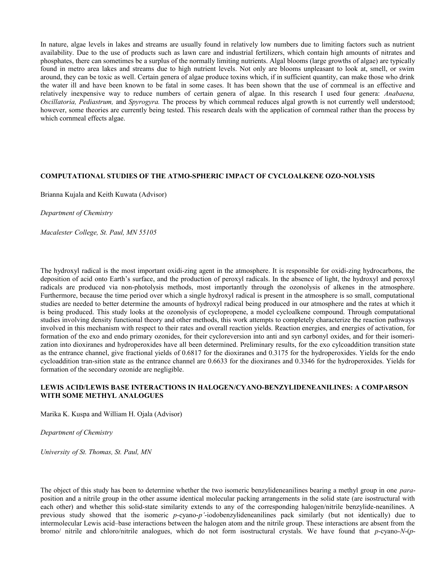In nature, algae levels in lakes and streams are usually found in relatively low numbers due to limiting factors such as nutrient availability. Due to the use of products such as lawn care and industrial fertilizers, which contain high amounts of nitrates and phosphates, there can sometimes be a surplus of the normally limiting nutrients. Algal blooms (large growths of algae) are typically found in metro area lakes and streams due to high nutrient levels. Not only are blooms unpleasant to look at, smell, or swim around, they can be toxic as well. Certain genera of algae produce toxins which, if in sufficient quantity, can make those who drink the water ill and have been known to be fatal in some cases. It has been shown that the use of cornmeal is an effective and relatively inexpensive way to reduce numbers of certain genera of algae. In this research I used four genera: *Anabaena, Oscillatoria, Pediastrum,* and *Spyrogyra.* The process by which cornmeal reduces algal growth is not currently well understood; however, some theories are currently being tested. This research deals with the application of cornmeal rather than the process by which cornmeal effects algae.

#### **COMPUTATIONAL STUDIES OF THE ATMO-SPHERIC IMPACT OF CYCLOALKENE OZO-NOLYSIS**

Brianna Kujala and Keith Kuwata (Advisor)

*Department of Chemistry* 

*Macalester College, St. Paul, MN 55105*

The hydroxyl radical is the most important oxidi-zing agent in the atmosphere. It is responsible for oxidi-zing hydrocarbons, the deposition of acid onto Earth's surface, and the production of peroxyl radicals. In the absence of light, the hydroxyl and peroxyl radicals are produced via non-photolysis methods, most importantly through the ozonolysis of alkenes in the atmosphere. Furthermore, because the time period over which a single hydroxyl radical is present in the atmosphere is so small, computational studies are needed to better determine the amounts of hydroxyl radical being produced in our atmosphere and the rates at which it is being produced. This study looks at the ozonolysis of cyclopropene, a model cycloalkene compound. Through computational studies involving density functional theory and other methods, this work attempts to completely characterize the reaction pathways involved in this mechanism with respect to their rates and overall reaction yields. Reaction energies, and energies of activation, for formation of the exo and endo primary ozonides, for their cycloreversion into anti and syn carbonyl oxides, and for their isomerization into dioxiranes and hydroperoxides have all been determined. Preliminary results, for the exo cylcoaddition transition state as the entrance channel, give fractional yields of 0.6817 for the dioxiranes and 0.3175 for the hydroperoxides. Yields for the endo cycloaddition tran-sition state as the entrance channel are 0.6633 for the dioxiranes and 0.3346 for the hydroperoxides. Yields for formation of the secondary ozonide are negligible.

## **LEWIS ACID/LEWIS BASE INTERACTIONS IN HALOGEN/CYANO-BENZYLIDENEANILINES: A COMPARSON WITH SOME METHYL ANALOGUES**

Marika K. Kuspa and William H. Ojala (Advisor)

*Department of Chemistry*

*University of St. Thomas, St. Paul, MN*

The object of this study has been to determine whether the two isomeric benzylideneanilines bearing a methyl group in one *para*position and a nitrile group in the other assume identical molecular packing arrangements in the solid state (are isostructural with each other) and whether this solid-state similarity extends to any of the corresponding halogen/nitrile benzylide-neanilines. A previous study showed that the isomeric *p*-cyano-*p'*-iodobenzylideneanilines pack similarly (but not identically) due to intermolecular Lewis acid–base interactions between the halogen atom and the nitrile group. These interactions are absent from the bromo/ nitrile and chloro/nitrile analogues, which do not form isostructural crystals. We have found that *p*-cyano-*N*-(*p*-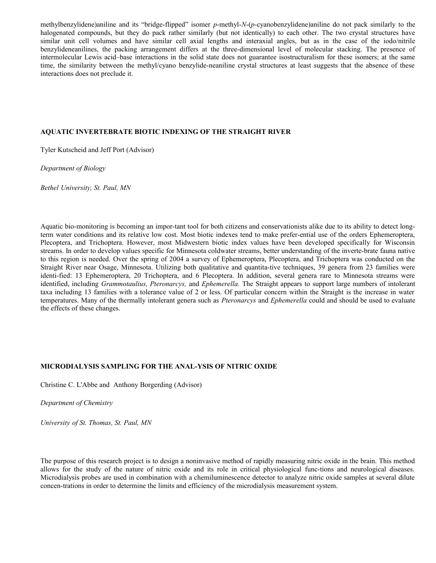methylbenzylidene)aniline and its "bridge-flipped" isomer *p*-methyl-*N*-(*p*-cyanobenzylidene)aniline do not pack similarly to the halogenated compounds, but they do pack rather similarly (but not identically) to each other. The two crystal structures have similar unit cell volumes and have similar cell axial lengths and interaxial angles, but as in the case of the iodo/nitrile benzylideneanilines, the packing arrangement differs at the three-dimensional level of molecular stacking. The presence of intermolecular Lewis acid–base interactions in the solid state does not guarantee isostructuralism for these isomers; at the same time, the similarity between the methyl/cyano benzylide-neaniline crystal structures at least suggests that the absence of these interactions does not preclude it.

#### **AQUATIC INVERTEBRATE BIOTIC INDEXING OF THE STRAIGHT RIVER**

Tyler Kutscheid and Jeff Port (Advisor)

*Department of Biology*

*Bethel University, St. Paul, MN*

Aquatic bio-monitoring is becoming an impor-tant tool for both citizens and conservationists alike due to its ability to detect longterm water conditions and its relative low cost. Most biotic indexes tend to make prefer-ential use of the orders Ephemeroptera, Plecoptera, and Trichoptera. However, most Midwestern biotic index values have been developed specifically for Wisconsin streams. In order to develop values specific for Minnesota coldwater streams, better understanding of the inverte-brate fauna native to this region is needed. Over the spring of 2004 a survey of Ephemeroptera, Plecoptera, and Trichoptera was conducted on the Straight River near Osage, Minnesota. Utilizing both qualitative and quantita-tive techniques, 39 genera from 23 families were identi-fied: 13 Ephemeroptera, 20 Trichoptera, and 6 Plecoptera. In addition, several genera rare to Minnesota streams were identified, including *Grammotaulius, Pteronarcys,* and *Ephemerella.* The Straight appears to support large numbers of intolerant taxa including 13 families with a tolerance value of 2 or less. Of particular concern within the Straight is the increase in water temperatures. Many of the thermally intolerant genera such as *Pteronarcys* and *Ephemerella* could and should be used to evaluate the effects of these changes.

#### **MICRODIALYSIS SAMPLING FOR THE ANAL-YSIS OF NITRIC OXIDE**

Christine C. L'Abbe and Anthony Borgerding (Advisor)

*Department of Chemistry*

*University of St. Thomas, St. Paul, MN*

The purpose of this research project is to design a noninvasive method of rapidly measuring nitric oxide in the brain. This method allows for the study of the nature of nitric oxide and its role in critical physiological func-tions and neurological diseases. Microdialysis probes are used in combination with a chemiluminescence detector to analyze nitric oxide samples at several dilute concen-trations in order to determine the limits and efficiency of the microdialysis measurement system.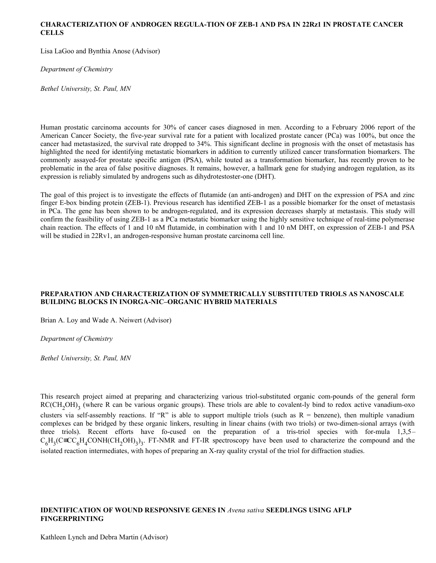#### **CHARACTERIZATION OF ANDROGEN REGULA-TION OF ZEB-1 AND PSA IN 22Rz1 IN PROSTATE CANCER CELLS**

Lisa LaGoo and Bynthia Anose (Advisor)

*Department of Chemistry*

*Bethel University, St. Paul, MN*

Human prostatic carcinoma accounts for 30% of cancer cases diagnosed in men. According to a February 2006 report of the American Cancer Society, the five-year survival rate for a patient with localized prostate cancer (PCa) was 100%, but once the cancer had metastasized, the survival rate dropped to 34%. This significant decline in prognosis with the onset of metastasis has highlighted the need for identifying metastatic biomarkers in addition to currently utilized cancer transformation biomarkers. The commonly assayed-for prostate specific antigen (PSA), while touted as a transformation biomarker, has recently proven to be problematic in the area of false positive diagnoses. It remains, however, a hallmark gene for studying androgen regulation, as its expression is reliably simulated by androgens such as dihydrotestoster-one (DHT).

The goal of this project is to investigate the effects of flutamide (an anti-androgen) and DHT on the expression of PSA and zinc finger E-box binding protein (ZEB-1). Previous research has identified ZEB-1 as a possible biomarker for the onset of metastasis in PCa. The gene has been shown to be androgen-regulated, and its expression decreases sharply at metastasis. This study will confirm the feasibility of using ZEB-1 as a PCa metastatic biomarker using the highly sensitive technique of real-time polymerase chain reaction. The effects of 1 and 10 nM flutamide, in combination with 1 and 10 nM DHT, on expression of ZEB-1 and PSA will be studied in 22Rv1, an androgen-responsive human prostate carcinoma cell line.

## **PREPARATION AND CHARACTERIZATION OF SYMMETRICALLY SUBSTITUTED TRIOLS AS NANOSCALE BUILDING BLOCKS IN INORGA-NIC–ORGANIC HYBRID MATERIALS**

Brian A. Loy and Wade A. Neiwert (Advisor)

*Department of Chemistry*

*Bethel University, St. Paul, MN*

This research project aimed at preparing and characterizing various triol-substituted organic com-pounds of the general form  $RC(CH_2OH)_3$  (where R can be various organic groups). These triols are able to covalent-ly bind to redox active vanadium-oxo clusters via self-assembly reactions. If "R" is able to support multiple triols (such as  $R =$  benzene), then multiple vanadium complexes can be bridged by these organic linkers, resulting in linear chains (with two triols) or two-dimen-sional arrays (with three triols). Recent efforts have fo-cused on the preparation of a tris-triol species with for-mula 1,3,5–  $C_6H_3(C\equiv CC_6H_4CONH(CH_2OH)_3)_3$ . FT-NMR and FT-IR spectroscopy have been used to characterize the compound and the isolated reaction intermediates, with hopes of preparing an X-ray quality crystal of the triol for diffraction studies.

## **IDENTIFICATION OF WOUND RESPONSIVE GENES IN** *Avena sativa* **SEEDLINGS USING AFLP FINGERPRINTING**

Kathleen Lynch and Debra Martin (Advisor)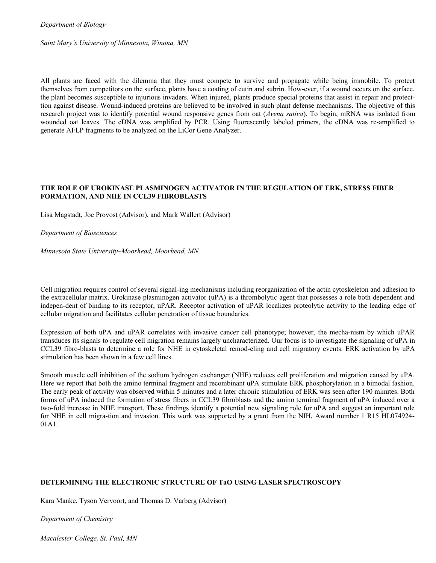*Department of Biology*

*Saint Mary's University of Minnesota, Winona, MN*

All plants are faced with the dilemma that they must compete to survive and propagate while being immobile. To protect themselves from competitors on the surface, plants have a coating of cutin and subrin. How-ever, if a wound occurs on the surface, the plant becomes susceptible to injurious invaders. When injured, plants produce special proteins that assist in repair and protecttion against disease. Wound-induced proteins are believed to be involved in such plant defense mechanisms. The objective of this research project was to identify potential wound responsive genes from oat (*Avena sativa*). To begin, mRNA was isolated from wounded oat leaves. The cDNA was amplified by PCR. Using fluorescently labeled primers, the cDNA was re-amplified to generate AFLP fragments to be analyzed on the LiCor Gene Analyzer.

## **THE ROLE OF UROKINASE PLASMINOGEN ACTIVATOR IN THE REGULATION OF ERK, STRESS FIBER FORMATION, AND NHE IN CCL39 FIBROBLASTS**

Lisa Magstadt, Joe Provost (Advisor), and Mark Wallert (Advisor)

#### *Department of Biosciences*

*Minnesota State University–Moorhead, Moorhead, MN*

Cell migration requires control of several signal-ing mechanisms including reorganization of the actin cytoskeleton and adhesion to the extracellular matrix. Urokinase plasminogen activator (uPA) is a thrombolytic agent that possesses a role both dependent and indepen-dent of binding to its receptor, uPAR. Receptor activation of uPAR localizes proteolytic activity to the leading edge of cellular migration and facilitates cellular penetration of tissue boundaries.

Expression of both uPA and uPAR correlates with invasive cancer cell phenotype; however, the mecha-nism by which uPAR transduces its signals to regulate cell migration remains largely uncharacterized. Our focus is to investigate the signaling of uPA in CCL39 fibro-blasts to determine a role for NHE in cytoskeletal remod-eling and cell migratory events. ERK activation by uPA stimulation has been shown in a few cell lines.

Smooth muscle cell inhibition of the sodium hydrogen exchanger (NHE) reduces cell proliferation and migration caused by uPA. Here we report that both the amino terminal fragment and recombinant uPA stimulate ERK phosphorylation in a bimodal fashion. The early peak of activity was observed within 5 minutes and a later chronic stimulation of ERK was seen after 190 minutes. Both forms of uPA induced the formation of stress fibers in CCL39 fibroblasts and the amino terminal fragment of uPA induced over a two-fold increase in NHE transport. These findings identify a potential new signaling role for uPA and suggest an important role for NHE in cell migra-tion and invasion. This work was supported by a grant from the NIH, Award number 1 R15 HL074924- 01A1.

## **DETERMINING THE ELECTRONIC STRUCTURE OF TaO USING LASER SPECTROSCOPY**

Kara Manke, Tyson Vervoort, and Thomas D. Varberg (Advisor)

*Department of Chemistry*

*Macalester College, St. Paul, MN*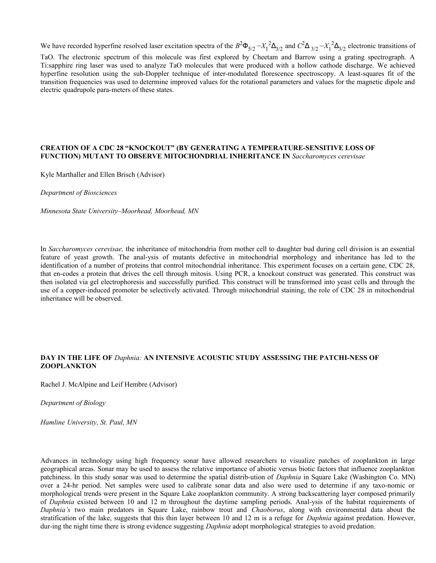We have recorded hyperfine resolved laser excitation spectra of the  $B^2\Phi_{5/2} - X_1^2\Delta_{3/2}$  and  $C^2\Delta_{3/2} - X_1^2\Delta_{3/2}$  electronic transitions of

TaO. The electronic spectrum of this molecule was first explored by Cheetam and Barrow using a grating spectrograph. A Ti:sapphire ring laser was used to analyze TaO molecules that were produced with a hollow cathode discharge. We achieved hyperfine resolution using the sub-Doppler technique of inter-modulated florescence spectroscopy. A least-squares fit of the transition frequencies was used to determine improved values for the rotational parameters and values for the magnetic dipole and electric quadrupole para-meters of these states.

#### **CREATION OF A CDC 28 "KNOCKOUT" (BY GENERATING A TEMPERATURE-SENSITIVE LOSS OF FUNCTION) MUTANT TO OBSERVE MITOCHONDRIAL INHERITANCE IN** *Saccharomyces cerevisae*

Kyle Marthaller and Ellen Brisch (Advisor)

*Department of Biosciences*

*Minnesota State University–Moorhead, Moorhead, MN*

In *Saccharomyces cerevisae,* the inheritance of mitochondria from mother cell to daughter bud during cell division is an essential feature of yeast growth. The anal-ysis of mutants defective in mitochondrial morphology and inheritance has led to the identification of a number of proteins that control mitochondrial inheritance. This experiment focuses on a certain gene, CDC 28, that en-codes a protein that drives the cell through mitosis. Using PCR, a knockout construct was generated. This construct was then isolated via gel electrophoresis and successfully purified. This construct will be transformed into yeast cells and through the use of a copper-induced promoter be selectively activated. Through mitochondrial staining, the role of CDC 28 in mitochondrial inheritance will be observed.

## **DAY IN THE LIFE OF** *Daphnia:* **AN INTENSIVE ACOUSTIC STUDY ASSESSING THE PATCHI-NESS OF ZOOPLANKTON**

Rachel J. McAlpine and Leif Hembre (Advisor)

*Department of Biology*

*Hamline University, St. Paul, MN*

Advances in technology using high frequency sonar have allowed researchers to visualize patches of zooplankton in large geographical areas. Sonar may be used to assess the relative importance of abiotic versus biotic factors that influence zooplankton patchiness. In this study sonar was used to determine the spatial distrib-ution of *Daphnia* in Square Lake (Washington Co. MN) over a 24-hr period. Net samples were used to calibrate sonar data and also were used to determine if any taxo-nomic or morphological trends were present in the Square Lake zooplankton community. A strong backscattering layer composed primarily of *Daphnia* existed between 10 and 12 m throughout the daytime sampling periods. Anal-ysis of the habitat requirements of *Daphnia's* two main predators in Square Lake, rainbow trout and *Chaoborus*, along with environmental data about the stratification of the lake, suggests that this thin layer between 10 and 12 m is a refuge for *Daphnia* against predation. However, dur-ing the night time there is strong evidence suggesting *Daphnia* adopt morphological strategies to avoid predation.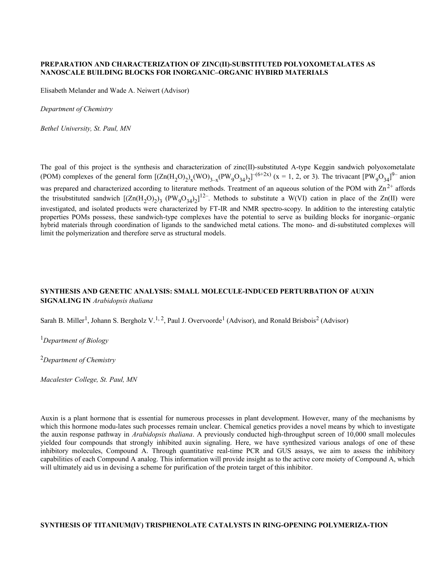#### **PREPARATION AND CHARACTERIZATION OF ZINC(II)-SUBSTITUTED POLYOXOMETALATES AS NANOSCALE BUILDING BLOCKS FOR INORGANIC–ORGANIC HYBIRD MATERIALS**

Elisabeth Melander and Wade A. Neiwert (Advisor)

*Department of Chemistry*

*Bethel University, St. Paul, MN*

The goal of this project is the synthesis and characterization of zinc(II)-substituted A-type Keggin sandwich polyoxometalate (POM) complexes of the general form  $[(\text{Zn}(H_2O)_2)_x(\text{WO})_{3-x}(\text{PW}_9O_{34})_2]^{-(6+2x)}$  (x = 1, 2, or 3). The trivacant  $[\text{PW}_9O_{34}]^{9-}$  anion was prepared and characterized according to literature methods. Treatment of an aqueous solution of the POM with  $Zn^{2+}$  affords the trisubstituted sandwich  $[(\text{Zn}(H_2O)_2)_3 \, (\text{PW}_9O_{34})_2]^{12}$ . Methods to substitute a W(VI) cation in place of the Zn(II) were investigated, and isolated products were characterized by FT-IR and NMR spectro-scopy. In addition to the interesting catalytic properties POMs possess, these sandwich-type complexes have the potential to serve as building blocks for inorganic–organic hybrid materials through coordination of ligands to the sandwiched metal cations. The mono- and di-substituted complexes will limit the polymerization and therefore serve as structural models.

## **SYNTHESIS AND GENETIC ANALYSIS: SMALL MOLECULE-INDUCED PERTURBATION OF AUXIN SIGNALING IN** *Arabidopsis thaliana*

Sarah B. Miller<sup>1</sup>, Johann S. Bergholz V.<sup>1, 2</sup>, Paul J. Overvoorde<sup>1</sup> (Advisor), and Ronald Brisbois<sup>2</sup> (Advisor)

<sup>1</sup>*Department of Biology*

<sup>2</sup>*Department of Chemistry*

*Macalester College, St. Paul, MN*

Auxin is a plant hormone that is essential for numerous processes in plant development. However, many of the mechanisms by which this hormone modu-lates such processes remain unclear. Chemical genetics provides a novel means by which to investigate the auxin response pathway in *Arabidopsis thaliana*. A previously conducted high-throughput screen of 10,000 small molecules yielded four compounds that strongly inhibited auxin signaling. Here, we have synthesized various analogs of one of these inhibitory molecules, Compound A. Through quantitative real-time PCR and GUS assays, we aim to assess the inhibitory capabilities of each Compound A analog. This information will provide insight as to the active core moiety of Compound A, which will ultimately aid us in devising a scheme for purification of the protein target of this inhibitor.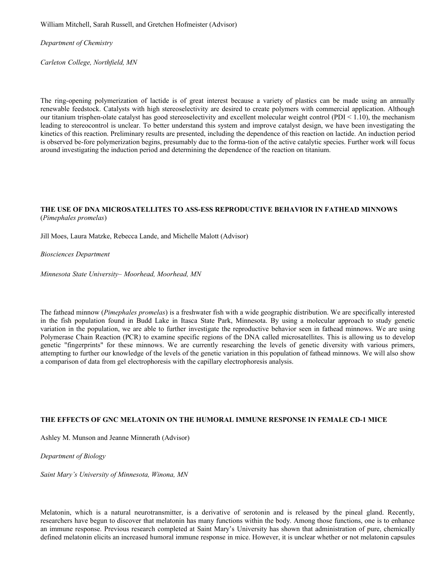William Mitchell, Sarah Russell, and Gretchen Hofmeister (Advisor)

*Department of Chemistry*

*Carleton College, Northfield, MN*

The ring-opening polymerization of lactide is of great interest because a variety of plastics can be made using an annually renewable feedstock. Catalysts with high stereoselectivity are desired to create polymers with commercial application. Although our titanium trisphen-olate catalyst has good stereoselectivity and excellent molecular weight control (PDI < 1.10), the mechanism leading to stereocontrol is unclear. To better understand this system and improve catalyst design, we have been investigating the kinetics of this reaction. Preliminary results are presented, including the dependence of this reaction on lactide. An induction period is observed be-fore polymerization begins, presumably due to the forma-tion of the active catalytic species. Further work will focus around investigating the induction period and determining the dependence of the reaction on titanium.

## **THE USE OF DNA MICROSATELLITES TO ASS-ESS REPRODUCTIVE BEHAVIOR IN FATHEAD MINNOWS** (*Pimephales promelas*)

Jill Moes, Laura Matzke, Rebecca Lande, and Michelle Malott (Advisor)

#### *Biosciences Department*

*Minnesota State University– Moorhead, Moorhead, MN* 

The fathead minnow (*Pimephales promelas*) is a freshwater fish with a wide geographic distribution. We are specifically interested in the fish population found in Budd Lake in Itasca State Park, Minnesota. By using a molecular approach to study genetic variation in the population, we are able to further investigate the reproductive behavior seen in fathead minnows. We are using Polymerase Chain Reaction (PCR) to examine specific regions of the DNA called microsatellites. This is allowing us to develop genetic "fingerprints" for these minnows. We are currently researching the levels of genetic diversity with various primers, attempting to further our knowledge of the levels of the genetic variation in this population of fathead minnows. We will also show a comparison of data from gel electrophoresis with the capillary electrophoresis analysis.

## **THE EFFECTS OF GNC MELATONIN ON THE HUMORAL IMMUNE RESPONSE IN FEMALE CD-1 MICE**

Ashley M. Munson and Jeanne Minnerath (Advisor)

*Department of Biology*

*Saint Mary's University of Minnesota, Winona, MN*

Melatonin, which is a natural neurotransmitter, is a derivative of serotonin and is released by the pineal gland. Recently, researchers have begun to discover that melatonin has many functions within the body. Among those functions, one is to enhance an immune response. Previous research completed at Saint Mary's University has shown that administration of pure, chemically defined melatonin elicits an increased humoral immune response in mice. However, it is unclear whether or not melatonin capsules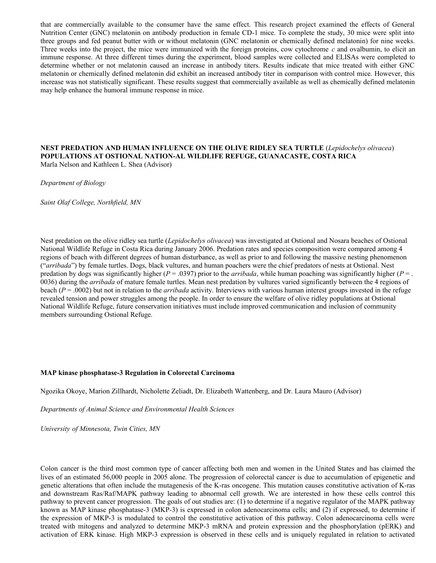that are commercially available to the consumer have the same effect. This research project examined the effects of General Nutrition Center (GNC) melatonin on antibody production in female CD-1 mice. To complete the study, 30 mice were split into three groups and fed peanut butter with or without melatonin (GNC melatonin or chemically defined melatonin) for nine weeks. Three weeks into the project, the mice were immunized with the foreign proteins, cow cytochrome *c* and ovalbumin, to elicit an immune response. At three different times during the experiment, blood samples were collected and ELISAs were completed to determine whether or not melatonin caused an increase in antibody titers. Results indicate that mice treated with either GNC melatonin or chemically defined melatonin did exhibit an increased antibody titer in comparison with control mice. However, this increase was not statistically significant. These results suggest that commercially available as well as chemically defined melatonin may help enhance the humoral immune response in mice.

#### **NEST PREDATION AND HUMAN INFLUENCE ON THE OLIVE RIDLEY SEA TURTLE** (*Lepidochelys olivacea*) **POPULATIONS AT OSTIONAL NATION-AL WILDLIFE REFUGE, GUANACASTE, COSTA RICA** Marla Nelson and Kathleen L. Shea (Advisor)

*Department of Biology*

*Saint Olaf College, Northfield, MN*

Nest predation on the olive ridley sea turtle (*Lepidochelys olivacea*) was investigated at Ostional and Nosara beaches of Ostional National Wildlife Refuge in Costa Rica during January 2006. Predation rates and species composition were compared among 4 regions of beach with different degrees of human disturbance, as well as prior to and following the massive nesting phenomenon ("*arribada*") by female turtles. Dogs, black vultures, and human poachers were the chief predators of nests at Ostional. Nest predation by dogs was significantly higher ( $P = .0397$ ) prior to the *arribada*, while human poaching was significantly higher ( $P = .$ 0036) during the *arribada* of mature female turtles. Mean nest predation by vultures varied significantly between the 4 regions of beach (*P* = .0002) but not in relation to the *arribada* activity. Interviews with various human interest groups invested in the refuge revealed tension and power struggles among the people. In order to ensure the welfare of olive ridley populations at Ostional National Wildlife Refuge, future conservation initiatives must include improved communication and inclusion of community members surrounding Ostional Refuge.

#### **MAP kinase phosphatase-3 Regulation in Colorectal Carcinoma**

Ngozika Okoye, Marion Zillhardt, Nicholette Zeliadt, Dr. Elizabeth Wattenberg, and Dr. Laura Mauro (Advisor)

*Departments of Animal Science and Environmental Health Sciences*

*University of Minnesota, Twin Cities, MN*

Colon cancer is the third most common type of cancer affecting both men and women in the United States and has claimed the lives of an estimated 56,000 people in 2005 alone. The progression of colorectal cancer is due to accumulation of epigenetic and genetic alterations that often include the mutagenesis of the K-ras oncogene. This mutation causes constitutive activation of K-ras and downstream Ras/Raf/MAPK pathway leading to abnormal cell growth. We are interested in how these cells control this pathway to prevent cancer progression. The goals of out studies are: (1) to determine if a negative regulator of the MAPK pathway known as MAP kinase phosphatase-3 (MKP-3) is expressed in colon adenocarcinoma cells; and (2) if expressed, to determine if the expression of MKP-3 is modulated to control the constitutive activation of this pathway. Colon adenocarcinoma cells were treated with mitogens and analyzed to determine MKP-3 mRNA and protein expression and the phosphorylation (pERK) and activation of ERK kinase. High MKP-3 expression is observed in these cells and is uniquely regulated in relation to activated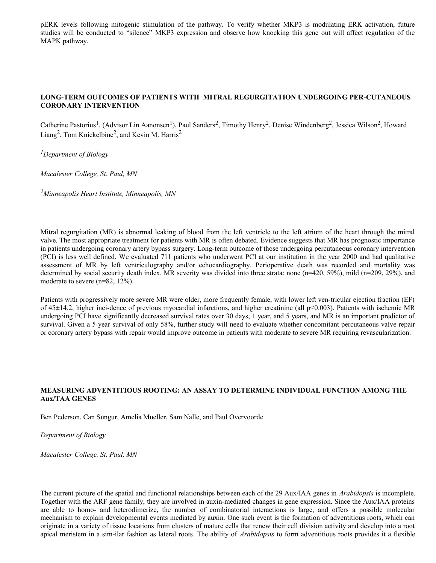pERK levels following mitogenic stimulation of the pathway. To verify whether MKP3 is modulating ERK activation, future studies will be conducted to "silence" MKP3 expression and observe how knocking this gene out will affect regulation of the MAPK pathway.

## **LONG-TERM OUTCOMES OF PATIENTS WITH MITRAL REGURGITATION UNDERGOING PER-CUTANEOUS CORONARY INTERVENTION**

Catherine Pastorius<sup>1</sup>, (Advisor Lin Aanonsen<sup>1</sup>), Paul Sanders<sup>2</sup>, Timothy Henry<sup>2</sup>, Denise Windenberg<sup>2</sup>, Jessica Wilson<sup>2</sup>, Howard Liang<sup>2</sup>, Tom Knickelbine<sup>2</sup>, and Kevin M. Harris<sup>2</sup>

*<sup>1</sup>Department of Biology*

*Macalester College, St. Paul, MN* 

*<sup>2</sup>Minneapolis Heart Institute, Minneapolis, MN*

Mitral regurgitation (MR) is abnormal leaking of blood from the left ventricle to the left atrium of the heart through the mitral valve. The most appropriate treatment for patients with MR is often debated. Evidence suggests that MR has prognostic importance in patients undergoing coronary artery bypass surgery. Long-term outcome of those undergoing percutaneous coronary intervention (PCI) is less well defined. We evaluated 711 patients who underwent PCI at our institution in the year 2000 and had qualitative assessment of MR by left ventriculography and/or echocardiography. Perioperative death was recorded and mortality was determined by social security death index. MR severity was divided into three strata: none (n=420, 59%), mild (n=209, 29%), and moderate to severe (n=82, 12%).

Patients with progressively more severe MR were older, more frequently female, with lower left ven-tricular ejection fraction (EF) of 45±14.2, higher inci-dence of previous myocardial infarctions, and higher creatinine (all p<0.003). Patients with ischemic MR undergoing PCI have significantly decreased survival rates over 30 days, 1 year, and 5 years, and MR is an important predictor of survival. Given a 5-year survival of only 58%, further study will need to evaluate whether concomitant percutaneous valve repair or coronary artery bypass with repair would improve outcome in patients with moderate to severe MR requiring revascularization.

## **MEASURING ADVENTITIOUS ROOTING: AN ASSAY TO DETERMINE INDIVIDUAL FUNCTION AMONG THE Aux/TAA GENES**

Ben Pederson, Can Sungur, Amelia Mueller, Sam Nalle, and Paul Overvoorde

*Department of Biology* 

*Macalester College, St. Paul, MN*

The current picture of the spatial and functional relationships between each of the 29 Aux/IAA genes in *Arabidopsis* is incomplete. Together with the ARF gene family, they are involved in auxin-mediated changes in gene expression. Since the Aux/IAA proteins are able to homo- and heterodimerize, the number of combinatorial interactions is large, and offers a possible molecular mechanism to explain developmental events mediated by auxin. One such event is the formation of adventitious roots, which can originate in a variety of tissue locations from clusters of mature cells that renew their cell division activity and develop into a root apical meristem in a sim-ilar fashion as lateral roots. The ability of *Arabidopsis* to form adventitious roots provides it a flexible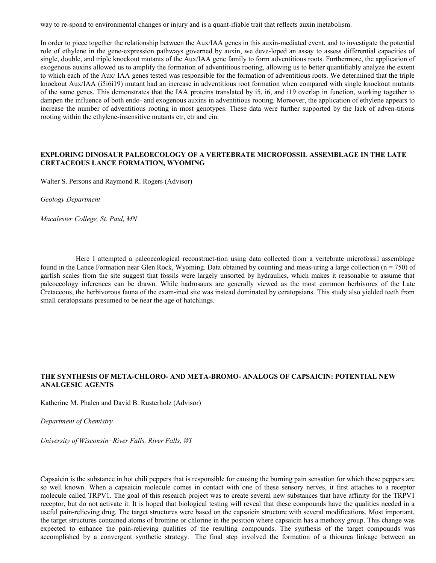way to re-spond to environmental changes or injury and is a quant-ifiable trait that reflects auxin metabolism.

In order to piece together the relationship between the Aux/IAA genes in this auxin-mediated event, and to investigate the potential role of ethylene in the gene-expression pathways governed by auxin, we deve-loped an assay to assess differential capacities of single, double, and triple knockout mutants of the Aux/IAA gene family to form adventitious roots. Furthermore, the application of exogenous auxins allowed us to amplify the formation of adventitious rooting, allowing us to better quantifiably analyze the extent to which each of the Aux/ IAA genes tested was responsible for the formation of adventitious roots. We determined that the triple knockout Aux/IAA (i5i6i19) mutant had an increase in adventitious root formation when compared with single knockout mutants of the same genes. This demonstrates that the IAA proteins translated by i5, i6, and i19 overlap in function, working together to dampen the influence of both endo- and exogenous auxins in adventitious rooting. Moreover, the application of ethylene appears to increase the number of adventitious rooting in most genotypes. These data were further supported by the lack of adven-titious rooting within the ethylene-insensitive mutants etr, ctr and ein.

#### **EXPLORING DINOSAUR PALEOECOLOGY OF A VERTEBRATE MICROFOSSIL ASSEMBLAGE IN THE LATE CRETACEOUS LANCE FORMATION, WYOMING**

Walter S. Persons and Raymond R. Rogers (Advisor)

*Geology Department*

*Macalester College, St. Paul, MN*

Here I attempted a paleoecological reconstruct-tion using data collected from a vertebrate microfossil assemblage found in the Lance Formation near Glen Rock, Wyoming. Data obtained by counting and meas-uring a large collection  $(n = 750)$  of garfish scales from the site suggest that fossils were largely unsorted by hydraulics, which makes it reasonable to assume that paleoecology inferences can be drawn. While hadrosaurs are generally viewed as the most common herbivores of the Late Cretaceous, the herbivorous fauna of the exam-ined site was instead dominated by ceratopsians. This study also yielded teeth from small ceratopsians presumed to be near the age of hatchlings.

#### **THE SYNTHESIS OF META-CHLORO- AND META-BROMO- ANALOGS OF CAPSAICIN: POTENTIAL NEW ANALGESIC AGENTS**

Katherine M. Phalen and David B. Rusterholz (Advisor)

*Department of Chemistry* 

*University of Wisconsin*–*River Falls, River Falls, WI* 

Capsaicin is the substance in hot chili peppers that is responsible for causing the burning pain sensation for which these peppers are so well known. When a capsaicin molecule comes in contact with one of these sensory nerves, it first attaches to a receptor molecule called TRPV1. The goal of this research project was to create several new substances that have affinity for the TRPV1 receptor, but do not activate it. It is hoped that biological testing will reveal that these compounds have the qualities needed in a useful pain-relieving drug. The target structures were based on the capsaicin structure with several modifications. Most important, the target structures contained atoms of bromine or chlorine in the position where capsaicin has a methoxy group. This change was expected to enhance the pain-relieving qualities of the resulting compounds. The synthesis of the target compounds was accomplished by a convergent synthetic strategy. The final step involved the formation of a thiourea linkage between an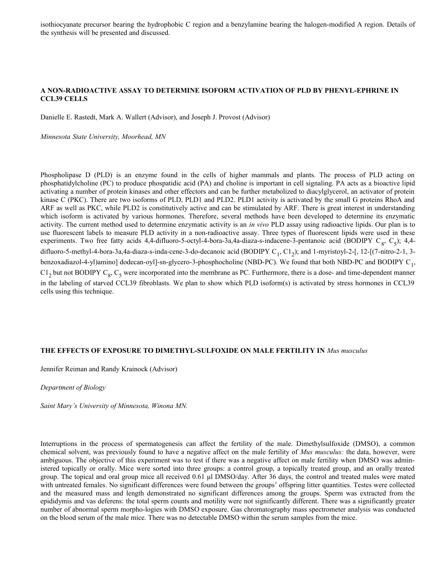isothiocyanate precursor bearing the hydrophobic C region and a benzylamine bearing the halogen-modified A region. Details of the synthesis will be presented and discussed.

## **A NON-RADIOACTIVE ASSAY TO DETERMINE ISOFORM ACTIVATION OF PLD BY PHENYL-EPHRINE IN CCL39 CELLS**

Danielle E. Rastedt, Mark A. Wallert (Advisor), and Joseph J. Provost (Advisor)

*Minnesota State University, Moorhead, MN*

Phospholipase D (PLD) is an enzyme found in the cells of higher mammals and plants. The process of PLD acting on phosphatidylcholine (PC) to produce phospatidic acid (PA) and choline is important in cell signaling. PA acts as a bioactive lipid activating a number of protein kinases and other effectors and can be further metabolized to diacylglycerol, an activator of protein kinase C (PKC). There are two isoforms of PLD, PLD1 and PLD2. PLD1 activity is activated by the small G proteins RhoA and ARF as well as PKC, while PLD2 is constitutively active and can be stimulated by ARF. There is great interest in understanding which isoform is activated by various hormones. Therefore, several methods have been developed to determine its enzymatic activity. The current method used to determine enzymatic activity is an *in vivo* PLD assay using radioactive lipids. Our plan is to use fluorescent labels to measure PLD activity in a non-radioactive assay. Three types of fluorescent lipids were used in these experiments. Two free fatty acids 4,4-difluoro-5-octyl-4-bora-3a,4a-diaza-s-indacene-3-pentanoic acid (BODIPY  $C_8$ ,  $C_5$ ); 4,4difluoro-5-methyl-4-bora-3a,4a-diaza-s-inda-cene-3-do-decanoic acid (BODIPY  $C_1$ ,  $C_1$ <sub>2</sub>); and 1-myristoyl-2-[, 12-[(7-nitro-2-1, 3benzoxadiazol-4-yl)amino] dodecan-oyl]-sn-glycero-3-phosphocholine (NBD-PC). We found that both NBD-PC and BODIPY  $C_1$ ,  $C1<sub>2</sub>$  but not BODIPY  $C<sub>8</sub>$ ,  $C<sub>5</sub>$  were incorporated into the membrane as PC. Furthermore, there is a dose- and time-dependent manner in the labeling of starved CCL39 fibroblasts. We plan to show which PLD isoform(s) is activated by stress hormones in CCL39 cells using this technique.

#### **THE EFFECTS OF EXPOSURE TO DIMETHYL-SULFOXIDE ON MALE FERTILITY IN** *Mus musculus*

Jennifer Reiman and Randy Krainock (Advisor)

*Department of Biology*

*Saint Mary's University of Minnesota, Winona MN.* 

Interruptions in the process of spermatogenesis can affect the fertility of the male. Dimethylsulfoxide (DMSO), a common chemical solvent, was previously found to have a negative affect on the male fertility of *Mus musculus:* the data, however, were ambiguous. The objective of this experiment was to test if there was a negative affect on male fertility when DMSO was administered topically or orally. Mice were sorted into three groups: a control group, a topically treated group, and an orally treated group. The topical and oral group mice all received 0.61 μl DMSO/day. After 36 days, the control and treated males were mated with untreated females. No significant differences were found between the groups' offspring litter quantities. Testes were collected and the measured mass and length demonstrated no significant differences among the groups. Sperm was extracted from the epididymis and vas deferens: the total sperm counts and motility were not significantly different. There was a significantly greater number of abnormal sperm morpho-logies with DMSO exposure. Gas chromatography mass spectrometer analysis was conducted on the blood serum of the male mice. There was no detectable DMSO within the serum samples from the mice.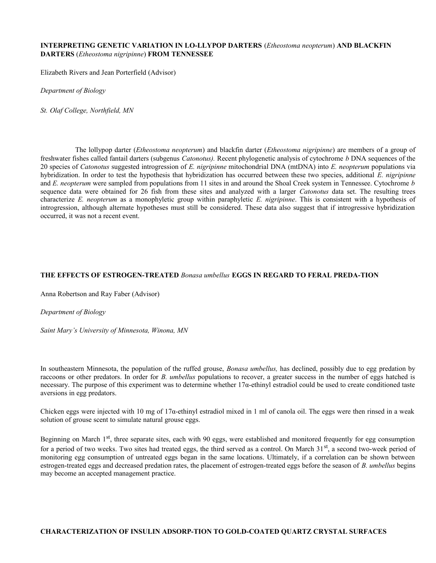### **INTERPRETING GENETIC VARIATION IN LO-LLYPOP DARTERS** (*Etheostoma neopterum*) **AND BLACKFIN DARTERS** (*Etheostoma nigripinne*) **FROM TENNESSEE**

Elizabeth Rivers and Jean Porterfield (Advisor)

*Department of Biology*

*St. Olaf College, Northfield, MN*

The lollypop darter (*Etheostoma neopterum*) and blackfin darter (*Etheostoma nigripinne*) are members of a group of freshwater fishes called fantail darters (subgenus *Catonotus).* Recent phylogenetic analysis of cytochrome *b* DNA sequences of the 20 species of *Catonotus* suggested introgression of *E. nigripinne* mitochondrial DNA (mtDNA) into *E. neopterum* populations via hybridization. In order to test the hypothesis that hybridization has occurred between these two species, additional *E. nigripinne* and *E. neopterum* were sampled from populations from 11 sites in and around the Shoal Creek system in Tennessee. Cytochrome *b* sequence data were obtained for 26 fish from these sites and analyzed with a larger *Catonotus* data set. The resulting trees characterize *E. neopterum* as a monophyletic group within paraphyletic *E. nigripinne*. This is consistent with a hypothesis of introgression, although alternate hypotheses must still be considered. These data also suggest that if introgressive hybridization occurred, it was not a recent event.

## **THE EFFECTS OF ESTROGEN-TREATED** *Bonasa umbellus* **EGGS IN REGARD TO FERAL PREDA-TION**

Anna Robertson and Ray Faber (Advisor)

*Department of Biology*

*Saint Mary's University of Minnesota, Winona, MN*

In southeastern Minnesota, the population of the ruffed grouse, *Bonasa umbellus,* has declined, possibly due to egg predation by raccoons or other predators. In order for *B. umbellus* populations to recover, a greater success in the number of eggs hatched is necessary. The purpose of this experiment was to determine whether 17α-ethinyl estradiol could be used to create conditioned taste aversions in egg predators.

Chicken eggs were injected with 10 mg of 17α-ethinyl estradiol mixed in 1 ml of canola oil. The eggs were then rinsed in a weak solution of grouse scent to simulate natural grouse eggs.

Beginning on March  $1<sup>st</sup>$ , three separate sites, each with 90 eggs, were established and monitored frequently for egg consumption for a period of two weeks. Two sites had treated eggs, the third served as a control. On March  $31<sup>st</sup>$ , a second two-week period of monitoring egg consumption of untreated eggs began in the same locations. Ultimately, if a correlation can be shown between estrogen-treated eggs and decreased predation rates, the placement of estrogen-treated eggs before the season of *B. umbellus* begins may become an accepted management practice.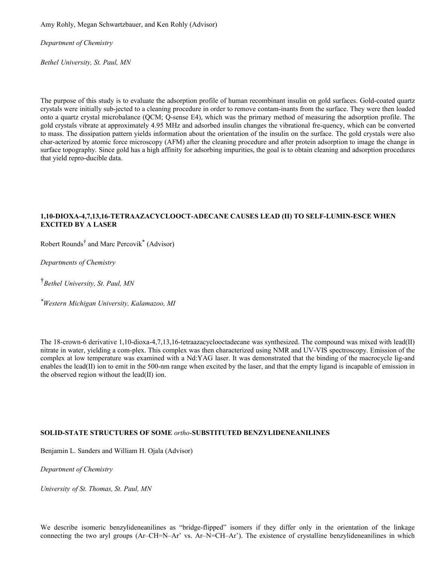Amy Rohly, Megan Schwartzbauer, and Ken Rohly (Advisor)

*Department of Chemistry*

*Bethel University, St. Paul, MN*

The purpose of this study is to evaluate the adsorption profile of human recombinant insulin on gold surfaces. Gold-coated quartz crystals were initially sub-jected to a cleaning procedure in order to remove contam-inants from the surface. They were then loaded onto a quartz crystal microbalance (QCM; Q-sense E4), which was the primary method of measuring the adsorption profile. The gold crystals vibrate at approximately 4.95 MHz and adsorbed insulin changes the vibrational fre-quency, which can be converted to mass. The dissipation pattern yields information about the orientation of the insulin on the surface. The gold crystals were also char-acterized by atomic force microscopy (AFM) after the cleaning procedure and after protein adsorption to image the change in surface topography. Since gold has a high affinity for adsorbing impurities, the goal is to obtain cleaning and adsorption procedures that yield repro-ducible data.

## **1,10-DIOXA-4,7,13,16-TETRAAZACYCLOOCT-ADECANE CAUSES LEAD (II) TO SELF-LUMIN-ESCE WHEN EXCITED BY A LASER**

Robert Rounds<sup>†</sup> and Marc Percovik<sup>\*</sup> (Advisor)

*Departments of Chemistry*

† *Bethel University, St. Paul, MN*

*\*Western Michigan University, Kalamazoo, MI*

The 18-crown-6 derivative 1,10-dioxa-4,7,13,16-tetraazacyclooctadecane was synthesized. The compound was mixed with lead(II) nitrate in water, yielding a com-plex. This complex was then characterized using NMR and UV-VIS spectroscopy. Emission of the complex at low temperature was examined with a Nd:YAG laser. It was demonstrated that the binding of the macrocycle lig-and enables the lead(II) ion to emit in the 500-nm range when excited by the laser, and that the empty ligand is incapable of emission in the observed region without the lead(II) ion.

## **SOLID-STATE STRUCTURES OF SOME** *ortho*-**SUBSTITUTED BENZYLIDENEANILINES**

Benjamin L. Sanders and William H. Ojala (Advisor)

*Department of Chemistry*

*University of St. Thomas, St. Paul, MN*

We describe isomeric benzylideneanilines as "bridge-flipped" isomers if they differ only in the orientation of the linkage connecting the two aryl groups (Ar–CH=N–Ar' vs. Ar–N=CH–Ar'). The existence of crystalline benzylideneanilines in which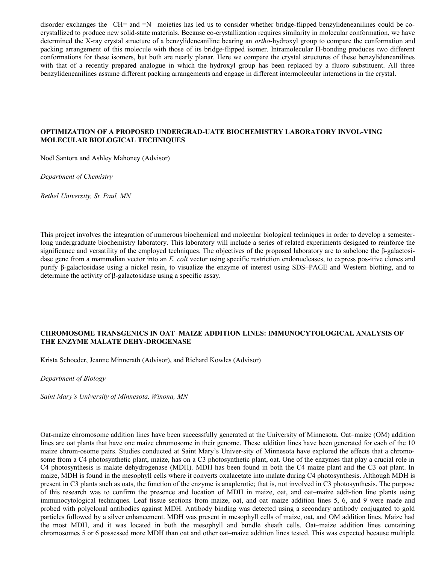disorder exchanges the –CH= and =N– moieties has led us to consider whether bridge-flipped benzylideneanilines could be cocrystallized to produce new solid-state materials. Because co-crystallization requires similarity in molecular conformation, we have determined the X-ray crystal structure of a benzylideneaniline bearing an *ortho*-hydroxyl group to compare the conformation and packing arrangement of this molecule with those of its bridge-flipped isomer. Intramolecular H-bonding produces two different conformations for these isomers, but both are nearly planar. Here we compare the crystal structures of these benzylideneanilines with that of a recently prepared analogue in which the hydroxyl group has been replaced by a fluoro substituent. All three benzylideneanilines assume different packing arrangements and engage in different intermolecular interactions in the crystal.

## **OPTIMIZATION OF A PROPOSED UNDERGRAD-UATE BIOCHEMISTRY LABORATORY INVOL-VING MOLECULAR BIOLOGICAL TECHNIQUES**

Noël Santora and Ashley Mahoney (Advisor)

*Department of Chemistry*

*Bethel University, St. Paul, MN*

This project involves the integration of numerous biochemical and molecular biological techniques in order to develop a semesterlong undergraduate biochemistry laboratory. This laboratory will include a series of related experiments designed to reinforce the significance and versatility of the employed techniques. The objectives of the proposed laboratory are to subclone the β-galactosidase gene from a mammalian vector into an *E. coli* vector using specific restriction endonucleases, to express pos-itive clones and purify β-galactosidase using a nickel resin, to visualize the enzyme of interest using SDS–PAGE and Western blotting, and to determine the activity of β-galactosidase using a specific assay.

## **CHROMOSOME TRANSGENICS IN OAT–MAIZE ADDITION LINES: IMMUNOCYTOLOGICAL ANALYSIS OF THE ENZYME MALATE DEHY-DROGENASE**

Krista Schoeder, Jeanne Minnerath (Advisor), and Richard Kowles (Advisor)

*Department of Biology*

*Saint Mary's University of Minnesota, Winona, MN*

Oat-maize chromosome addition lines have been successfully generated at the University of Minnesota. Oat–maize (OM) addition lines are oat plants that have one maize chromosome in their genome. These addition lines have been generated for each of the 10 maize chrom-osome pairs. Studies conducted at Saint Mary's Univer-sity of Minnesota have explored the effects that a chromosome from a C4 photosynthetic plant, maize, has on a C3 photosynthetic plant, oat. One of the enzymes that play a crucial role in C4 photosynthesis is malate dehydrogenase (MDH). MDH has been found in both the C4 maize plant and the C3 oat plant. In maize, MDH is found in the mesophyll cells where it converts oxalacetate into malate during C4 photosynthesis. Although MDH is present in C3 plants such as oats, the function of the enzyme is anaplerotic; that is, not involved in C3 photosynthesis. The purpose of this research was to confirm the presence and location of MDH in maize, oat, and oat–maize addi-tion line plants using immunocytological techniques. Leaf tissue sections from maize, oat, and oat–maize addition lines 5, 6, and 9 were made and probed with polyclonal antibodies against MDH. Antibody binding was detected using a secondary antibody conjugated to gold particles followed by a silver enhancement. MDH was present in mesophyll cells of maize, oat, and OM addition lines. Maize had the most MDH, and it was located in both the mesophyll and bundle sheath cells. Oat–maize addition lines containing chromosomes 5 or 6 possessed more MDH than oat and other oat–maize addition lines tested. This was expected because multiple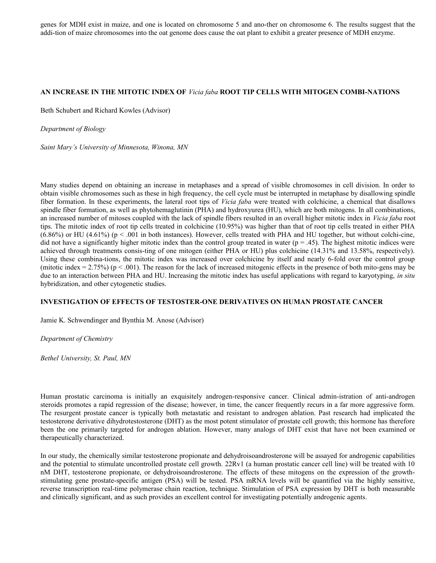genes for MDH exist in maize, and one is located on chromosome 5 and ano-ther on chromosome 6. The results suggest that the addi-tion of maize chromosomes into the oat genome does cause the oat plant to exhibit a greater presence of MDH enzyme.

## **AN INCREASE IN THE MITOTIC INDEX OF** *Vicia faba* **ROOT TIP CELLS WITH MITOGEN COMBI-NATIONS**

Beth Schubert and Richard Kowles (Advisor)

*Department of Biology*

*Saint Mary's University of Minnesota, Winona, MN*

Many studies depend on obtaining an increase in metaphases and a spread of visible chromosomes in cell division. In order to obtain visible chromosomes such as these in high frequency, the cell cycle must be interrupted in metaphase by disallowing spindle fiber formation. In these experiments, the lateral root tips of *Vicia faba* were treated with colchicine, a chemical that disallows spindle fiber formation, as well as phytohemaglutinin (PHA) and hydroxyurea (HU), which are both mitogens. In all combinations, an increased number of mitoses coupled with the lack of spindle fibers resulted in an overall higher mitotic index in *Vicia faba* root tips. The mitotic index of root tip cells treated in colchicine (10.95%) was higher than that of root tip cells treated in either PHA  $(6.86\%)$  or HU (4.61%) (p < .001 in both instances). However, cells treated with PHA and HU together, but without colchi-cine, did not have a significantly higher mitotic index than the control group treated in water ( $p = .45$ ). The highest mitotic indices were achieved through treatments consis-ting of one mitogen (either PHA or HU) plus colchicine (14.31% and 13.58%, respectively). Using these combina-tions, the mitotic index was increased over colchicine by itself and nearly 6-fold over the control group (mitotic index  $= 2.75\%$ ) (p  $\lt 0.001$ ). The reason for the lack of increased mitogenic effects in the presence of both mito-gens may be due to an interaction between PHA and HU. Increasing the mitotic index has useful applications with regard to karyotyping, *in situ* hybridization, and other cytogenetic studies.

#### **INVESTIGATION OF EFFECTS OF TESTOSTER-ONE DERIVATIVES ON HUMAN PROSTATE CANCER**

Jamie K. Schwendinger and Bynthia M. Anose (Advisor)

*Department of Chemistry*

*Bethel University, St. Paul, MN*

Human prostatic carcinoma is initially an exquisitely androgen-responsive cancer. Clinical admin-istration of anti-androgen steroids promotes a rapid regression of the disease; however, in time, the cancer frequently recurs in a far more aggressive form. The resurgent prostate cancer is typically both metastatic and resistant to androgen ablation. Past research had implicated the testosterone derivative dihydrotestosterone (DHT) as the most potent stimulator of prostate cell growth; this hormone has therefore been the one primarily targeted for androgen ablation. However, many analogs of DHT exist that have not been examined or therapeutically characterized.

In our study, the chemically similar testosterone propionate and dehydroisoandrosterone will be assayed for androgenic capabilities and the potential to stimulate uncontrolled prostate cell growth. 22Rv1 (a human prostatic cancer cell line) will be treated with 10 nM DHT, testosterone propionate, or dehydroisoandrosterone. The effects of these mitogens on the expression of the growthstimulating gene prostate-specific antigen (PSA) will be tested. PSA mRNA levels will be quantified via the highly sensitive, reverse transcription real-time polymerase chain reaction, technique. Stimulation of PSA expression by DHT is both measurable and clinically significant, and as such provides an excellent control for investigating potentially androgenic agents.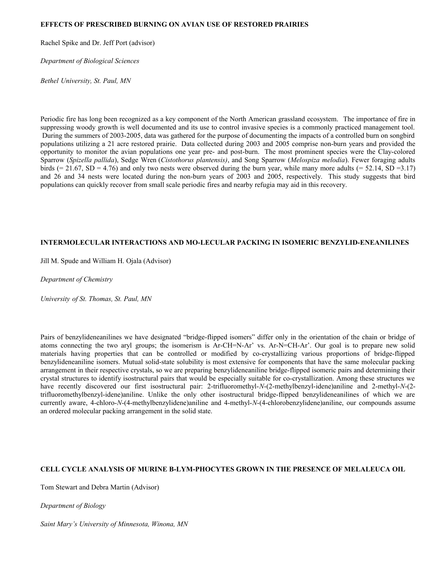## **EFFECTS OF PRESCRIBED BURNING ON AVIAN USE OF RESTORED PRAIRIES**

Rachel Spike and Dr. Jeff Port (advisor)

*Department of Biological Sciences*

*Bethel University, St. Paul, MN*

Periodic fire has long been recognized as a key component of the North American grassland ecosystem. The importance of fire in suppressing woody growth is well documented and its use to control invasive species is a commonly practiced management tool. During the summers of 2003-2005, data was gathered for the purpose of documenting the impacts of a controlled burn on songbird populations utilizing a 21 acre restored prairie. Data collected during 2003 and 2005 comprise non-burn years and provided the opportunity to monitor the avian populations one year pre- and post-burn. The most prominent species were the Clay-colored Sparrow (*Spizella pallida*), Sedge Wren (*Cistothorus plantensis)*, and Song Sparrow (*Melospiza melodia*). Fewer foraging adults birds  $(= 21.67, SD = 4.76)$  and only two nests were observed during the burn year, while many more adults  $(= 52.14, SD = 3.17)$ and 26 and 34 nests were located during the non-burn years of 2003 and 2005, respectively. This study suggests that bird populations can quickly recover from small scale periodic fires and nearby refugia may aid in this recovery.

## **INTERMOLECULAR INTERACTIONS AND MO-LECULAR PACKING IN ISOMERIC BENZYLID-ENEANILINES**

Jill M. Spude and William H. Ojala (Advisor)

*Department of Chemistry*

*University of St. Thomas, St. Paul, MN*

Pairs of benzylideneanilines we have designated "bridge-flipped isomers" differ only in the orientation of the chain or bridge of atoms connecting the two aryl groups; the isomerism is Ar-CH=N-Ar' vs. Ar-N=CH-Ar'. Our goal is to prepare new solid materials having properties that can be controlled or modified by co-crystallizing various proportions of bridge-flipped benzylideneaniline isomers. Mutual solid-state solubility is most extensive for components that have the same molecular packing arrangement in their respective crystals, so we are preparing benzylideneaniline bridge-flipped isomeric pairs and determining their crystal structures to identify isostructural pairs that would be especially suitable for co-crystallization. Among these structures we have recently discovered our first isostructural pair: 2-trifluoromethyl-*N*-(2-methylbenzyl-idene)aniline and 2-methyl-*N*-(2 trifluoromethylbenzyl-idene)aniline. Unlike the only other isostructural bridge-flipped benzylideneanilines of which we are currently aware, 4-chloro-*N*-(4-methylbenzylidene)aniline and 4-methyl-*N*-(4-chlorobenzylidene)aniline, our compounds assume an ordered molecular packing arrangement in the solid state.

## **CELL CYCLE ANALYSIS OF MURINE B-LYM-PHOCYTES GROWN IN THE PRESENCE OF MELALEUCA OIL**

Tom Stewart and Debra Martin (Advisor)

*Department of Biology*

*Saint Mary's University of Minnesota, Winona, MN*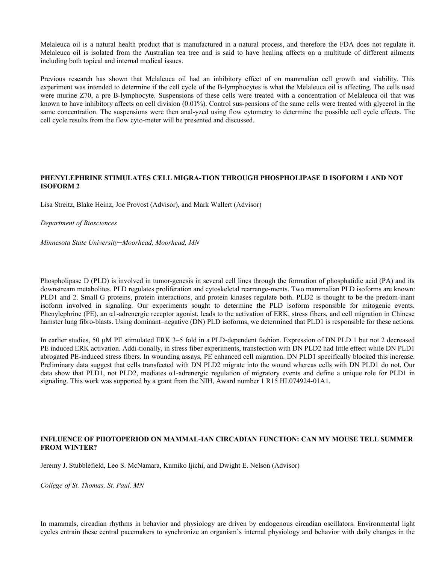Melaleuca oil is a natural health product that is manufactured in a natural process, and therefore the FDA does not regulate it. Melaleuca oil is isolated from the Australian tea tree and is said to have healing affects on a multitude of different ailments including both topical and internal medical issues.

Previous research has shown that Melaleuca oil had an inhibitory effect of on mammalian cell growth and viability. This experiment was intended to determine if the cell cycle of the B-lymphocytes is what the Melaleuca oil is affecting. The cells used were murine Z70, a pre B-lymphocyte. Suspensions of these cells were treated with a concentration of Melaleuca oil that was known to have inhibitory affects on cell division (0.01%). Control sus-pensions of the same cells were treated with glycerol in the same concentration. The suspensions were then anal-yzed using flow cytometry to determine the possible cell cycle effects. The cell cycle results from the flow cyto-meter will be presented and discussed.

## **PHENYLEPHRINE STIMULATES CELL MIGRA-TION THROUGH PHOSPHOLIPASE D ISOFORM 1 AND NOT ISOFORM 2**

Lisa Streitz, Blake Heinz, Joe Provost (Advisor), and Mark Wallert (Advisor)

*Department of Biosciences*

*Minnesota State University*–*Moorhead, Moorhead, MN*

Phospholipase D (PLD) is involved in tumor-genesis in several cell lines through the formation of phosphatidic acid (PA) and its downstream metabolites. PLD regulates proliferation and cytoskeletal rearrange-ments. Two mammalian PLD isoforms are known: PLD1 and 2. Small G proteins, protein interactions, and protein kinases regulate both. PLD2 is thought to be the predom-inant isoform involved in signaling. Our experiments sought to determine the PLD isoform responsible for mitogenic events. Phenylephrine (PE), an  $\alpha$ 1-adrenergic receptor agonist, leads to the activation of ERK, stress fibers, and cell migration in Chinese hamster lung fibro-blasts. Using dominant–negative (DN) PLD isoforms, we determined that PLD1 is responsible for these actions.

In earlier studies, 50 µM PE stimulated ERK 3–5 fold in a PLD-dependent fashion. Expression of DN PLD 1 but not 2 decreased PE induced ERK activation. Addi-tionally, in stress fiber experiments, transfection with DN PLD2 had little effect while DN PLD1 abrogated PE-induced stress fibers. In wounding assays, PE enhanced cell migration. DN PLD1 specifically blocked this increase. Preliminary data suggest that cells transfected with DN PLD2 migrate into the wound whereas cells with DN PLD1 do not. Our data show that PLD1, not PLD2, mediates α1-adrenergic regulation of migratory events and define a unique role for PLD1 in signaling. This work was supported by a grant from the NIH, Award number 1 R15 HL074924-01A1.

## **INFLUENCE OF PHOTOPERIOD ON MAMMAL-IAN CIRCADIAN FUNCTION: CAN MY MOUSE TELL SUMMER FROM WINTER?**

Jeremy J. Stubblefield, Leo S. McNamara, Kumiko Ijichi, and Dwight E. Nelson (Advisor)

*College of St. Thomas, St. Paul, MN*

In mammals, circadian rhythms in behavior and physiology are driven by endogenous circadian oscillators. Environmental light cycles entrain these central pacemakers to synchronize an organism's internal physiology and behavior with daily changes in the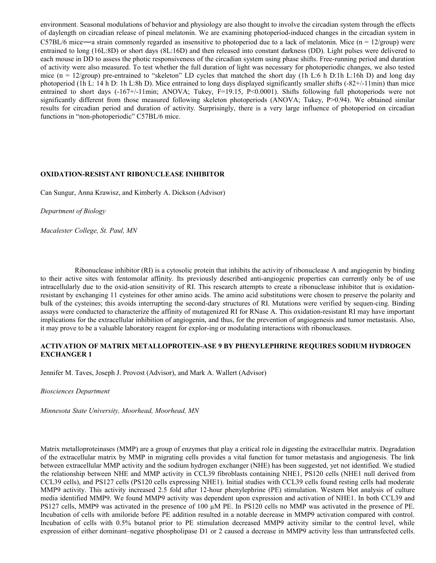environment. Seasonal modulations of behavior and physiology are also thought to involve the circadian system through the effects of daylength on circadian release of pineal melatonin. We are examining photoperiod-induced changes in the circadian system in C57BL/6 mice—a strain commonly regarded as insensitive to photoperiod due to a lack of melatonin. Mice  $(n = 12/\text{group})$  were entrained to long (16L:8D) or short days (8L:16D) and then released into constant darkness (DD). Light pulses were delivered to each mouse in DD to assess the photic responsiveness of the circadian system using phase shifts. Free-running period and duration of activity were also measured. To test whether the full duration of light was necessary for photoperiodic changes, we also tested mice (n = 12/group) pre-entrained to "skeleton" LD cycles that matched the short day (1h L:6 h D:1h L:16h D) and long day photoperiod (1h L: 14 h D: 1h L:8h D). Mice entrained to long days displayed significantly smaller shifts (-82+/-11min) than mice entrained to short days (-167+/-11min; ANOVA; Tukey, F=19.15, P<0.0001). Shifts following full photoperiods were not significantly different from those measured following skeleton photoperiods (ANOVA; Tukey, P>0.94). We obtained similar results for circadian period and duration of activity. Surprisingly, there is a very large influence of photoperiod on circadian functions in "non-photoperiodic" C57BL/6 mice.

#### **OXIDATION-RESISTANT RIBONUCLEASE INHIBITOR**

Can Sungur, Anna Krawisz, and Kimberly A. Dickson (Advisor)

*Department of Biology*

*Macalester College, St. Paul, MN*

Ribonuclease inhibitor (RI) is a cytosolic protein that inhibits the activity of ribonuclease A and angiogenin by binding to their active sites with fentomolar affinity. Its previously described anti-angiogenic properties can currently only be of use intracellularly due to the oxid-ation sensitivity of RI. This research attempts to create a ribonuclease inhibitor that is oxidationresistant by exchanging 11 cysteines for other amino acids. The amino acid substitutions were chosen to preserve the polarity and bulk of the cysteines; this avoids interrupting the second-dary structures of RI. Mutations were verified by sequen-cing. Binding assays were conducted to characterize the affinity of mutagenized RI for RNase A. This oxidation-resistant RI may have important implications for the extracellular inhibition of angiogenin, and thus, for the prevention of angiogenesis and tumor metastasis. Also, it may prove to be a valuable laboratory reagent for explor-ing or modulating interactions with ribonucleases.

#### **ACTIVATION OF MATRIX METALLOPROTEIN-ASE 9 BY PHENYLEPHRINE REQUIRES SODIUM HYDROGEN EXCHANGER 1**

Jennifer M. Taves, Joseph J. Provost (Advisor), and Mark A. Wallert (Advisor)

*Biosciences Department*

*Minnesota State University, Moorhead, Moorhead, MN*

Matrix metalloproteinases (MMP) are a group of enzymes that play a critical role in digesting the extracellular matrix. Degradation of the extracellular matrix by MMP in migrating cells provides a vital function for tumor metastasis and angiogenesis. The link between extracellular MMP activity and the sodium hydrogen exchanger (NHE) has been suggested, yet not identified. We studied the relationship between NHE and MMP activity in CCL39 fibroblasts containing NHE1, PS120 cells (NHE1 null derived from CCL39 cells), and PS127 cells (PS120 cells expressing NHE1). Initial studies with CCL39 cells found resting cells had moderate MMP9 activity. This activity increased 2.5 fold after 12-hour phenylephrine (PE) stimulation. Western blot analysis of culture media identified MMP9. We found MMP9 activity was dependent upon expression and activation of NHE1. In both CCL39 and PS127 cells, MMP9 was activated in the presence of 100  $\mu$ M PE. In PS120 cells no MMP was activated in the presence of PE. Incubation of cells with amiloride before PE addition resulted in a notable decrease in MMP9 activation compared with control. Incubation of cells with 0.5% butanol prior to PE stimulation decreased MMP9 activity similar to the control level, while expression of either dominant–negative phospholipase D1 or 2 caused a decrease in MMP9 activity less than untransfected cells.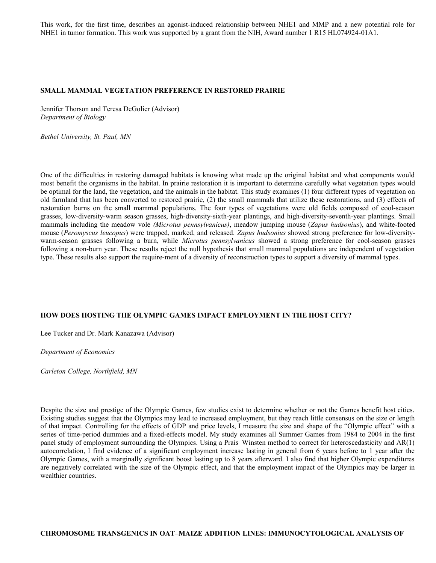This work, for the first time, describes an agonist-induced relationship between NHE1 and MMP and a new potential role for NHE1 in tumor formation. This work was supported by a grant from the NIH, Award number 1 R15 HL074924-01A1.

#### **SMALL MAMMAL VEGETATION PREFERENCE IN RESTORED PRAIRIE**

Jennifer Thorson and Teresa DeGolier (Advisor) *Department of Biology*

*Bethel University, St. Paul, MN*

One of the difficulties in restoring damaged habitats is knowing what made up the original habitat and what components would most benefit the organisms in the habitat. In prairie restoration it is important to determine carefully what vegetation types would be optimal for the land, the vegetation, and the animals in the habitat. This study examines (1) four different types of vegetation on old farmland that has been converted to restored prairie, (2) the small mammals that utilize these restorations, and (3) effects of restoration burns on the small mammal populations. The four types of vegetations were old fields composed of cool-season grasses, low-diversity-warm season grasses, high-diversity-sixth-year plantings, and high-diversity-seventh-year plantings. Small mammals including the meadow vole *(Microtus pennsylvanicus)*, meadow jumping mouse (*Zapus hudsonius*), and white-footed mouse (*Peromyscus leucopus*) were trapped, marked, and released. *Zapus hudsonius* showed strong preference for low-diversitywarm-season grasses following a burn, while *Microtus pennsylvanicus* showed a strong preference for cool-season grasses following a non-burn year. These results reject the null hypothesis that small mammal populations are independent of vegetation type. These results also support the require-ment of a diversity of reconstruction types to support a diversity of mammal types.

#### **HOW DOES HOSTING THE OLYMPIC GAMES IMPACT EMPLOYMENT IN THE HOST CITY?**

Lee Tucker and Dr. Mark Kanazawa (Advisor)

*Department of Economics*

*Carleton College, Northfield, MN*

Despite the size and prestige of the Olympic Games, few studies exist to determine whether or not the Games benefit host cities. Existing studies suggest that the Olympics may lead to increased employment, but they reach little consensus on the size or length of that impact. Controlling for the effects of GDP and price levels, I measure the size and shape of the "Olympic effect" with a series of time-period dummies and a fixed-effects model. My study examines all Summer Games from 1984 to 2004 in the first panel study of employment surrounding the Olympics. Using a Prais–Winsten method to correct for heteroscedasticity and AR(1) autocorrelation, I find evidence of a significant employment increase lasting in general from 6 years before to 1 year after the Olympic Games, with a marginally significant boost lasting up to 8 years afterward. I also find that higher Olympic expenditures are negatively correlated with the size of the Olympic effect, and that the employment impact of the Olympics may be larger in wealthier countries.